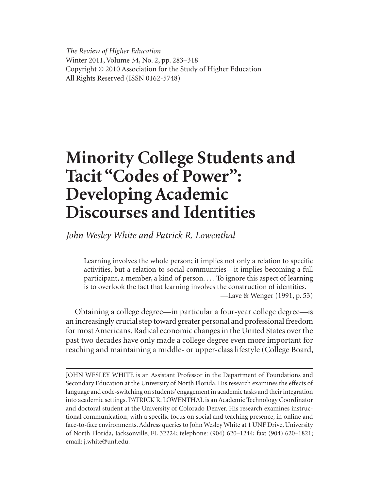*The Review of Higher Education* Winter 2011, Volume 34, No. 2, pp. 283–318 Copyright © 2010 Association for the Study of Higher Education All Rights Reserved (ISSN 0162-5748)

# **Minority College Students and Tacit "Codes of Power": Developing Academic Discourses and Identities**

*John Wesley White and Patrick R. Lowenthal*

Learning involves the whole person; it implies not only a relation to specific activities, but a relation to social communities—it implies becoming a full participant, a member, a kind of person. . . . To ignore this aspect of learning is to overlook the fact that learning involves the construction of identities. —Lave & Wenger (1991, p. 53)

Obtaining a college degree—in particular a four-year college degree—is an increasingly crucial step toward greater personal and professional freedom for most Americans. Radical economic changes in the United States over the past two decades have only made a college degree even more important for reaching and maintaining a middle- or upper-class lifestyle (College Board,

JOHN WESLEY WHITE is an Assistant Professor in the Department of Foundations and Secondary Education at the University of North Florida. His research examines the effects of language and code-switching on students' engagement in academic tasks and their integration into academic settings. PATRICK R. LOWENTHAL is an Academic Technology Coordinator and doctoral student at the University of Colorado Denver. His research examines instructional communication, with a specific focus on social and teaching presence, in online and face-to-face environments. Address queries to John Wesley White at 1 UNF Drive, University of North Florida, Jacksonville, FL 32224; telephone: (904) 620–1244; fax: (904) 620–1821; email: j.white@unf.edu.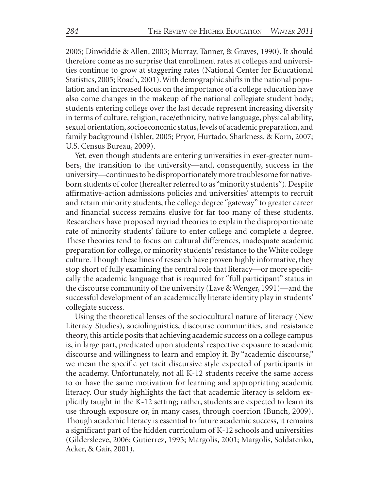2005; Dinwiddie & Allen, 2003; Murray, Tanner, & Graves, 1990). It should therefore come as no surprise that enrollment rates at colleges and universities continue to grow at staggering rates (National Center for Educational Statistics, 2005; Roach, 2001). With demographic shifts in the national population and an increased focus on the importance of a college education have also come changes in the makeup of the national collegiate student body; students entering college over the last decade represent increasing diversity in terms of culture, religion, race/ethnicity, native language, physical ability, sexual orientation, socioeconomic status, levels of academic preparation, and family background (Ishler, 2005; Pryor, Hurtado, Sharkness, & Korn, 2007; U.S. Census Bureau, 2009).

Yet, even though students are entering universities in ever-greater numbers, the transition to the university—and, consequently, success in the university—continues to be disproportionately more troublesome for nativeborn students of color (hereafter referred to as "minority students"). Despite affirmative-action admissions policies and universities' attempts to recruit and retain minority students, the college degree "gateway" to greater career and financial success remains elusive for far too many of these students. Researchers have proposed myriad theories to explain the disproportionate rate of minority students' failure to enter college and complete a degree. These theories tend to focus on cultural differences, inadequate academic preparation for college, or minority students' resistance to the White college culture. Though these lines of research have proven highly informative, they stop short of fully examining the central role that literacy—or more specifically the academic language that is required for "full participant" status in the discourse community of the university (Lave & Wenger, 1991)—and the successful development of an academically literate identity play in students' collegiate success.

Using the theoretical lenses of the sociocultural nature of literacy (New Literacy Studies), sociolinguistics, discourse communities, and resistance theory, this article posits that achieving academic success on a college campus is, in large part, predicated upon students' respective exposure to academic discourse and willingness to learn and employ it. By "academic discourse," we mean the specific yet tacit discursive style expected of participants in the academy. Unfortunately, not all K-12 students receive the same access to or have the same motivation for learning and appropriating academic literacy. Our study highlights the fact that academic literacy is seldom explicitly taught in the K-12 setting; rather, students are expected to learn its use through exposure or, in many cases, through coercion (Bunch, 2009). Though academic literacy is essential to future academic success, it remains a significant part of the hidden curriculum of K-12 schools and universities (Gildersleeve, 2006; Gutiérrez, 1995; Margolis, 2001; Margolis, Soldatenko, Acker, & Gair, 2001).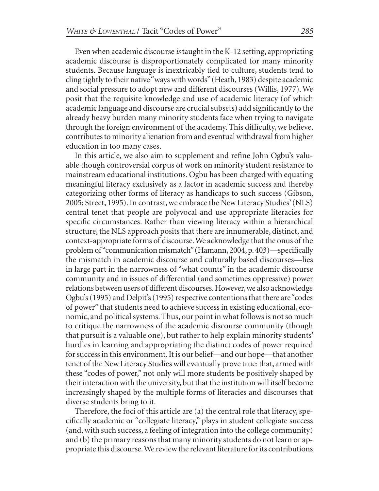Even when academic discourse *is* taught in the K-12 setting, appropriating academic discourse is disproportionately complicated for many minority students. Because language is inextricably tied to culture, students tend to cling tightly to their native "ways with words" (Heath, 1983) despite academic and social pressure to adopt new and different discourses (Willis, 1977). We posit that the requisite knowledge and use of academic literacy (of which academic language and discourse are crucial subsets) add significantly to the already heavy burden many minority students face when trying to navigate through the foreign environment of the academy. This difficulty, we believe, contributes to minority alienation from and eventual withdrawal from higher education in too many cases.

In this article, we also aim to supplement and refine John Ogbu's valuable though controversial corpus of work on minority student resistance to mainstream educational institutions. Ogbu has been charged with equating meaningful literacy exclusively as a factor in academic success and thereby categorizing other forms of literacy as handicaps to such success (Gibson, 2005; Street, 1995). In contrast, we embrace the New Literacy Studies' (NLS) central tenet that people are polyvocal and use appropriate literacies for specific circumstances. Rather than viewing literacy within a hierarchical structure, the NLS approach posits that there are innumerable, distinct, and context-appropriate forms of discourse. We acknowledge that the onus of the problem of "communication mismatch" (Hamann, 2004, p. 403)—specifically the mismatch in academic discourse and culturally based discourses—lies in large part in the narrowness of "what counts" in the academic discourse community and in issues of differential (and sometimes oppressive) power relations between users of different discourses. However, we also acknowledge Ogbu's (1995) and Delpit's (1995) respective contentions that there are "codes of power" that students need to achieve success in existing educational, economic, and political systems. Thus, our point in what follows is not so much to critique the narrowness of the academic discourse community (though that pursuit is a valuable one), but rather to help explain minority students' hurdles in learning and appropriating the distinct codes of power required for success in this environment. It is our belief—and our hope—that another tenet of the New Literacy Studies will eventually prove true: that, armed with these "codes of power," not only will more students be positively shaped by their interaction with the university, but that the institution will itself become increasingly shaped by the multiple forms of literacies and discourses that diverse students bring to it.

Therefore, the foci of this article are (a) the central role that literacy, specifically academic or "collegiate literacy," plays in student collegiate success (and, with such success, a feeling of integration into the college community) and (b) the primary reasons that many minority students do not learn or appropriate this discourse. We review the relevant literature for its contributions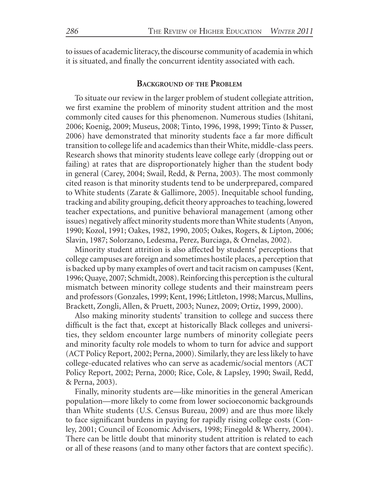to issues of academic literacy, the discourse community of academia in which it is situated, and finally the concurrent identity associated with each.

# **BACKGROUND OF THE PROBLEM**

To situate our review in the larger problem of student collegiate attrition, we first examine the problem of minority student attrition and the most commonly cited causes for this phenomenon. Numerous studies (Ishitani, 2006; Koenig, 2009; Museus, 2008; Tinto, 1996, 1998, 1999; Tinto & Pusser, 2006) have demonstrated that minority students face a far more difficult transition to college life and academics than their White, middle-class peers. Research shows that minority students leave college early (dropping out or failing) at rates that are disproportionately higher than the student body in general (Carey, 2004; Swail, Redd, & Perna, 2003). The most commonly cited reason is that minority students tend to be underprepared, compared to White students (Zarate & Gallimore, 2005). Inequitable school funding, tracking and ability grouping, deficit theory approaches to teaching, lowered teacher expectations, and punitive behavioral management (among other issues) negatively affect minority students more than White students (Anyon, 1990; Kozol, 1991; Oakes, 1982, 1990, 2005; Oakes, Rogers, & Lipton, 2006; Slavin, 1987; Solorzano, Ledesma, Perez, Burciaga, & Ornelas, 2002).

Minority student attrition is also affected by students' perceptions that college campuses are foreign and sometimes hostile places, a perception that is backed up by many examples of overt and tacit racism on campuses (Kent, 1996; Quaye, 2007; Schmidt, 2008). Reinforcing this perception is the cultural mismatch between minority college students and their mainstream peers and professors (Gonzales, 1999; Kent, 1996; Littleton, 1998; Marcus, Mullins, Brackett, Zongli, Allen, & Pruett, 2003; Nunez, 2009; Ortiz, 1999, 2000).

Also making minority students' transition to college and success there difficult is the fact that, except at historically Black colleges and universities, they seldom encounter large numbers of minority collegiate peers and minority faculty role models to whom to turn for advice and support (ACT Policy Report, 2002; Perna, 2000). Similarly, they are less likely to have college-educated relatives who can serve as academic/social mentors (ACT Policy Report, 2002; Perna, 2000; Rice, Cole, & Lapsley, 1990; Swail, Redd, & Perna, 2003).

Finally, minority students are—like minorities in the general American population—more likely to come from lower socioeconomic backgrounds than White students (U.S. Census Bureau, 2009) and are thus more likely to face significant burdens in paying for rapidly rising college costs (Conley, 2001; Council of Economic Advisers, 1998; Finegold & Wherry, 2004). There can be little doubt that minority student attrition is related to each or all of these reasons (and to many other factors that are context specific).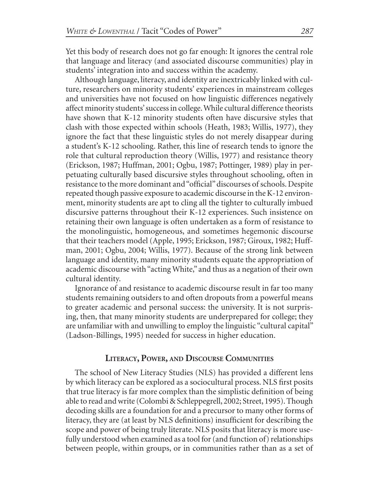Yet this body of research does not go far enough: It ignores the central role that language and literacy (and associated discourse communities) play in students' integration into and success within the academy.

Although language, literacy, and identity are inextricably linked with culture, researchers on minority students' experiences in mainstream colleges and universities have not focused on how linguistic differences negatively affect minority students' success in college. While cultural difference theorists have shown that K-12 minority students often have discursive styles that clash with those expected within schools (Heath, 1983; Willis, 1977), they ignore the fact that these linguistic styles do not merely disappear during a student's K-12 schooling. Rather, this line of research tends to ignore the role that cultural reproduction theory (Willis, 1977) and resistance theory (Erickson, 1987; Huffman, 2001; Ogbu, 1987; Pottinger, 1989) play in perpetuating culturally based discursive styles throughout schooling, often in resistance to the more dominant and "official" discourses of schools. Despite repeated though passive exposure to academic discourse in the K-12 environment, minority students are apt to cling all the tighter to culturally imbued discursive patterns throughout their K-12 experiences. Such insistence on retaining their own language is often undertaken as a form of resistance to the monolinguistic, homogeneous, and sometimes hegemonic discourse that their teachers model (Apple, 1995; Erickson, 1987; Giroux, 1982; Huffman, 2001; Ogbu, 2004; Willis, 1977). Because of the strong link between language and identity, many minority students equate the appropriation of academic discourse with "acting White," and thus as a negation of their own cultural identity.

Ignorance of and resistance to academic discourse result in far too many students remaining outsiders to and often dropouts from a powerful means to greater academic and personal success: the university. It is not surprising, then, that many minority students are underprepared for college; they are unfamiliar with and unwilling to employ the linguistic "cultural capital" (Ladson-Billings, 1995) needed for success in higher education.

#### **LITERACY, POWER, AND DISCOURSE COMMUNITIES**

The school of New Literacy Studies (NLS) has provided a different lens by which literacy can be explored as a sociocultural process. NLS first posits that true literacy is far more complex than the simplistic definition of being able to read and write (Colombi & Schleppegrell, 2002; Street, 1995). Though decoding skills are a foundation for and a precursor to many other forms of literacy, they are (at least by NLS definitions) insufficient for describing the scope and power of being truly literate. NLS posits that literacy is more usefully understood when examined as a tool for (and function of) relationships between people, within groups, or in communities rather than as a set of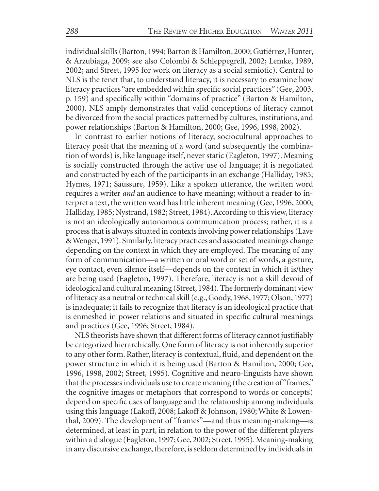individual skills (Barton, 1994; Barton & Hamilton, 2000; Gutiérrez, Hunter, & Arzubiaga, 2009; see also Colombi & Schleppegrell, 2002; Lemke, 1989, 2002; and Street, 1995 for work on literacy as a social semiotic). Central to NLS is the tenet that, to understand literacy, it is necessary to examine how literacy practices "are embedded within specific social practices" (Gee, 2003, p. 159) and specifically within "domains of practice" (Barton & Hamilton, 2000). NLS amply demonstrates that valid conceptions of literacy cannot be divorced from the social practices patterned by cultures, institutions, and power relationships (Barton & Hamilton, 2000; Gee, 1996, 1998, 2002).

In contrast to earlier notions of literacy, sociocultural approaches to literacy posit that the meaning of a word (and subsequently the combination of words) is, like language itself, never static (Eagleton, 1997). Meaning is socially constructed through the active use of language; it is negotiated and constructed by each of the participants in an exchange (Halliday, 1985; Hymes, 1971; Saussure, 1959). Like a spoken utterance, the written word requires a writer *and* an audience to have meaning; without a reader to interpret a text, the written word has little inherent meaning (Gee, 1996, 2000; Halliday, 1985; Nystrand, 1982; Street, 1984). According to this view, literacy is not an ideologically autonomous communication process; rather, it is a process that is always situated in contexts involving power relationships (Lave & Wenger, 1991). Similarly, literacy practices and associated meanings change depending on the context in which they are employed. The meaning of any form of communication—a written or oral word or set of words, a gesture, eye contact, even silence itself—depends on the context in which it is/they are being used (Eagleton, 1997). Therefore, literacy is not a skill devoid of ideological and cultural meaning (Street, 1984). The formerly dominant view of literacy as a neutral or technical skill (e.g., Goody, 1968, 1977; Olson, 1977) is inadequate; it fails to recognize that literacy is an ideological practice that is enmeshed in power relations and situated in specific cultural meanings and practices (Gee, 1996; Street, 1984).

NLS theorists have shown that different forms of literacy cannot justifiably be categorized hierarchically. One form of literacy is not inherently superior to any other form. Rather, literacy is contextual, fluid, and dependent on the power structure in which it is being used (Barton & Hamilton, 2000; Gee, 1996, 1998, 2002; Street, 1995). Cognitive and neuro-linguists have shown that the processes individuals use to create meaning (the creation of "frames," the cognitive images or metaphors that correspond to words or concepts) depend on specific uses of language and the relationship among individuals using this language (Lakoff, 2008; Lakoff & Johnson, 1980; White & Lowenthal, 2009). The development of "frames"—and thus meaning-making—is determined, at least in part, in relation to the power of the different players within a dialogue (Eagleton, 1997; Gee, 2002; Street, 1995). Meaning-making in any discursive exchange, therefore, is seldom determined by individuals in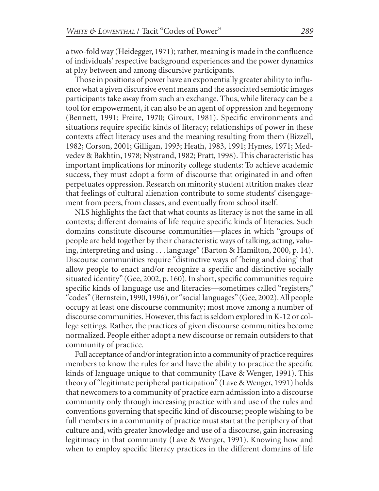a two-fold way (Heidegger, 1971); rather, meaning is made in the confluence of individuals' respective background experiences and the power dynamics at play between and among discursive participants.

Those in positions of power have an exponentially greater ability to influence what a given discursive event means and the associated semiotic images participants take away from such an exchange. Thus, while literacy can be a tool for empowerment, it can also be an agent of oppression and hegemony (Bennett, 1991; Freire, 1970; Giroux, 1981). Specific environments and situations require specific kinds of literacy; relationships of power in these contexts affect literacy uses and the meaning resulting from them (Bizzell, 1982; Corson, 2001; Gilligan, 1993; Heath, 1983, 1991; Hymes, 1971; Medvedev & Bakhtin, 1978; Nystrand, 1982; Pratt, 1998). This characteristic has important implications for minority college students: To achieve academic success, they must adopt a form of discourse that originated in and often perpetuates oppression. Research on minority student attrition makes clear that feelings of cultural alienation contribute to some students' disengagement from peers, from classes, and eventually from school itself.

NLS highlights the fact that what counts as literacy is not the same in all contexts; different domains of life require specific kinds of literacies. Such domains constitute discourse communities—places in which "groups of people are held together by their characteristic ways of talking, acting, valuing, interpreting and using . . . language" (Barton & Hamilton, 2000, p. 14). Discourse communities require "distinctive ways of 'being and doing' that allow people to enact and/or recognize a specific and distinctive socially situated identity" (Gee, 2002, p. 160). In short, specific communities require specific kinds of language use and literacies—sometimes called "registers," "codes" (Bernstein, 1990, 1996), or "social languages" (Gee, 2002). All people occupy at least one discourse community; most move among a number of discourse communities. However, this fact is seldom explored in K-12 or college settings. Rather, the practices of given discourse communities become normalized. People either adopt a new discourse or remain outsiders to that community of practice.

Full acceptance of and/or integration into a community of practice requires members to know the rules for and have the ability to practice the specific kinds of language unique to that community (Lave & Wenger, 1991). This theory of "legitimate peripheral participation" (Lave & Wenger, 1991) holds that newcomers to a community of practice earn admission into a discourse community only through increasing practice with and use of the rules and conventions governing that specific kind of discourse; people wishing to be full members in a community of practice must start at the periphery of that culture and, with greater knowledge and use of a discourse, gain increasing legitimacy in that community (Lave & Wenger, 1991). Knowing how and when to employ specific literacy practices in the different domains of life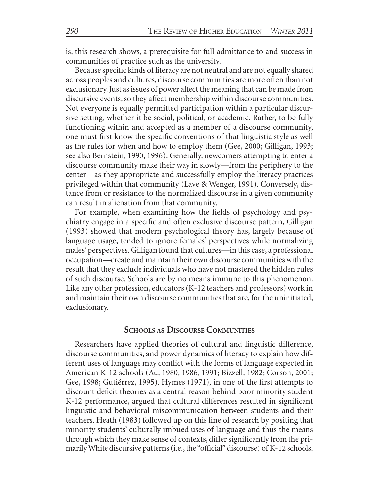is, this research shows, a prerequisite for full admittance to and success in communities of practice such as the university.

Because specific kinds of literacy are not neutral and are not equally shared across peoples and cultures, discourse communities are more often than not exclusionary. Just as issues of power affect the meaning that can be made from discursive events, so they affect membership within discourse communities. Not everyone is equally permitted participation within a particular discursive setting, whether it be social, political, or academic. Rather, to be fully functioning within and accepted as a member of a discourse community, one must first know the specific conventions of that linguistic style as well as the rules for when and how to employ them (Gee, 2000; Gilligan, 1993; see also Bernstein, 1990, 1996). Generally, newcomers attempting to enter a discourse community make their way in slowly—from the periphery to the center—as they appropriate and successfully employ the literacy practices privileged within that community (Lave & Wenger, 1991). Conversely, distance from or resistance to the normalized discourse in a given community can result in alienation from that community.

For example, when examining how the fields of psychology and psychiatry engage in a specific and often exclusive discourse pattern, Gilligan (1993) showed that modern psychological theory has, largely because of language usage, tended to ignore females' perspectives while normalizing males' perspectives. Gilligan found that cultures—in this case, a professional occupation—create and maintain their own discourse communities with the result that they exclude individuals who have not mastered the hidden rules of such discourse. Schools are by no means immune to this phenomenon. Like any other profession, educators (K-12 teachers and professors) work in and maintain their own discourse communities that are, for the uninitiated, exclusionary.

## **SCHOOLS AS DISCOURSE COMMUNITIES**

Researchers have applied theories of cultural and linguistic difference, discourse communities, and power dynamics of literacy to explain how different uses of language may conflict with the forms of language expected in American K-12 schools (Au, 1980, 1986, 1991; Bizzell, 1982; Corson, 2001; Gee, 1998; Gutiérrez, 1995). Hymes (1971), in one of the first attempts to discount deficit theories as a central reason behind poor minority student K-12 performance, argued that cultural differences resulted in significant linguistic and behavioral miscommunication between students and their teachers. Heath (1983) followed up on this line of research by positing that minority students' culturally imbued uses of language and thus the means through which they make sense of contexts, differ significantly from the primarily White discursive patterns (i.e., the "official" discourse) of K-12 schools.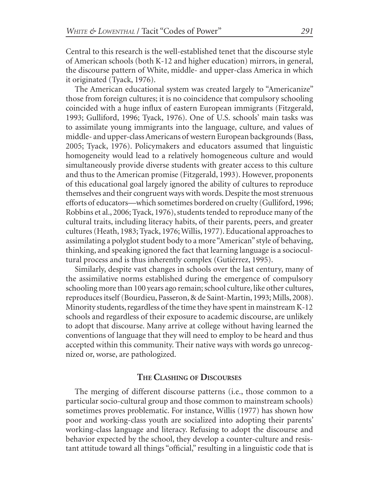Central to this research is the well-established tenet that the discourse style of American schools (both K-12 and higher education) mirrors, in general, the discourse pattern of White, middle- and upper-class America in which it originated (Tyack, 1976).

The American educational system was created largely to "Americanize" those from foreign cultures; it is no coincidence that compulsory schooling coincided with a huge influx of eastern European immigrants (Fitzgerald, 1993; Gulliford, 1996; Tyack, 1976). One of U.S. schools' main tasks was to assimilate young immigrants into the language, culture, and values of middle- and upper-class Americans of western European backgrounds (Bass, 2005; Tyack, 1976). Policymakers and educators assumed that linguistic homogeneity would lead to a relatively homogeneous culture and would simultaneously provide diverse students with greater access to this culture and thus to the American promise (Fitzgerald, 1993). However, proponents of this educational goal largely ignored the ability of cultures to reproduce themselves and their congruent ways with words. Despite the most strenuous efforts of educators—which sometimes bordered on cruelty (Gulliford, 1996; Robbins et al., 2006; Tyack, 1976), students tended to reproduce many of the cultural traits, including literacy habits, of their parents, peers, and greater cultures (Heath, 1983; Tyack, 1976; Willis, 1977). Educational approaches to assimilating a polyglot student body to a more "American" style of behaving, thinking, and speaking ignored the fact that learning language is a sociocultural process and is thus inherently complex (Gutiérrez, 1995).

Similarly, despite vast changes in schools over the last century, many of the assimilative norms established during the emergence of compulsory schooling more than 100 years ago remain; school culture, like other cultures, reproduces itself (Bourdieu, Passeron, & de Saint-Martin, 1993; Mills, 2008). Minority students, regardless of the time they have spent in mainstream K-12 schools and regardless of their exposure to academic discourse, are unlikely to adopt that discourse. Many arrive at college without having learned the conventions of language that they will need to employ to be heard and thus accepted within this community. Their native ways with words go unrecognized or, worse, are pathologized.

# **THE CLASHING OF DISCOURSES**

The merging of different discourse patterns (i.e., those common to a particular socio-cultural group and those common to mainstream schools) sometimes proves problematic. For instance, Willis (1977) has shown how poor and working-class youth are socialized into adopting their parents' working-class language and literacy. Refusing to adopt the discourse and behavior expected by the school, they develop a counter-culture and resistant attitude toward all things "official," resulting in a linguistic code that is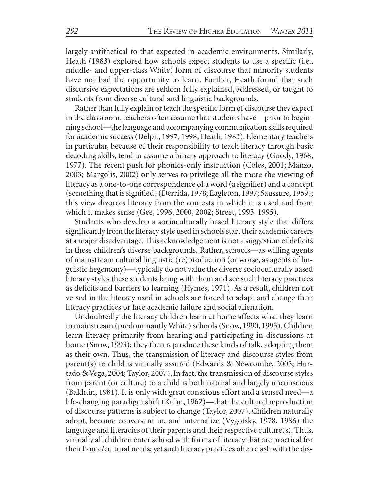largely antithetical to that expected in academic environments. Similarly, Heath (1983) explored how schools expect students to use a specific (i.e., middle- and upper-class White) form of discourse that minority students have not had the opportunity to learn. Further, Heath found that such discursive expectations are seldom fully explained, addressed, or taught to students from diverse cultural and linguistic backgrounds.

Rather than fully explain or teach the specific form of discourse they expect in the classroom, teachers often assume that students have—prior to beginning school—the language and accompanying communication skills required for academic success (Delpit, 1997, 1998; Heath, 1983). Elementary teachers in particular, because of their responsibility to teach literacy through basic decoding skills, tend to assume a binary approach to literacy (Goody, 1968, 1977). The recent push for phonics-only instruction (Coles, 2001; Manzo, 2003; Margolis, 2002) only serves to privilege all the more the viewing of literacy as a one-to-one correspondence of a word (a signifier) and a concept (something that is signified) (Derrida, 1978; Eagleton, 1997; Saussure, 1959); this view divorces literacy from the contexts in which it is used and from which it makes sense (Gee, 1996, 2000, 2002; Street, 1993, 1995).

Students who develop a socioculturally based literacy style that differs significantly from the literacy style used in schools start their academic careers at a major disadvantage. This acknowledgement is not a suggestion of deficits in these children's diverse backgrounds. Rather, schools—as willing agents of mainstream cultural linguistic (re)production (or worse, as agents of linguistic hegemony)—typically do not value the diverse socioculturally based literacy styles these students bring with them and see such literacy practices as deficits and barriers to learning (Hymes, 1971). As a result, children not versed in the literacy used in schools are forced to adapt and change their literacy practices or face academic failure and social alienation.

Undoubtedly the literacy children learn at home affects what they learn in mainstream (predominantly White) schools (Snow, 1990, 1993). Children learn literacy primarily from hearing and participating in discussions at home (Snow, 1993); they then reproduce these kinds of talk, adopting them as their own. Thus, the transmission of literacy and discourse styles from parent(s) to child is virtually assured (Edwards & Newcombe, 2005; Hurtado & Vega, 2004; Taylor, 2007). In fact, the transmission of discourse styles from parent (or culture) to a child is both natural and largely unconscious (Bakhtin, 1981). It is only with great conscious effort and a sensed need—a life-changing paradigm shift (Kuhn, 1962)—that the cultural reproduction of discourse patterns is subject to change (Taylor, 2007). Children naturally adopt, become conversant in, and internalize (Vygotsky, 1978, 1986) the language and literacies of their parents and their respective culture(s). Thus, virtually all children enter school with forms of literacy that are practical for their home/cultural needs; yet such literacy practices often clash with the dis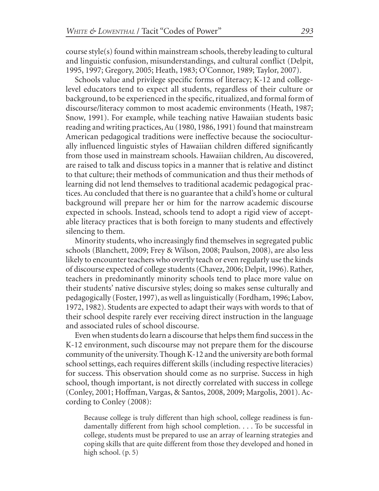course style(s) found within mainstream schools, thereby leading to cultural and linguistic confusion, misunderstandings, and cultural conflict (Delpit, 1995, 1997; Gregory, 2005; Heath, 1983; O'Connor, 1989; Taylor, 2007).

Schools value and privilege specific forms of literacy; K-12 and collegelevel educators tend to expect all students, regardless of their culture or background, to be experienced in the specific, ritualized, and formal form of discourse/literacy common to most academic environments (Heath, 1987; Snow, 1991). For example, while teaching native Hawaiian students basic reading and writing practices, Au (1980, 1986, 1991) found that mainstream American pedagogical traditions were ineffective because the socioculturally influenced linguistic styles of Hawaiian children differed significantly from those used in mainstream schools. Hawaiian children, Au discovered, are raised to talk and discuss topics in a manner that is relative and distinct to that culture; their methods of communication and thus their methods of learning did not lend themselves to traditional academic pedagogical practices. Au concluded that there is no guarantee that a child's home or cultural background will prepare her or him for the narrow academic discourse expected in schools. Instead, schools tend to adopt a rigid view of acceptable literacy practices that is both foreign to many students and effectively silencing to them.

Minority students, who increasingly find themselves in segregated public schools (Blanchett, 2009; Frey & Wilson, 2008; Paulson, 2008), are also less likely to encounter teachers who overtly teach or even regularly use the kinds of discourse expected of college students (Chavez, 2006; Delpit, 1996). Rather, teachers in predominantly minority schools tend to place more value on their students' native discursive styles; doing so makes sense culturally and pedagogically (Foster, 1997), as well as linguistically (Fordham, 1996; Labov, 1972, 1982). Students are expected to adapt their ways with words to that of their school despite rarely ever receiving direct instruction in the language and associated rules of school discourse.

Even when students do learn a discourse that helps them find success in the K-12 environment, such discourse may not prepare them for the discourse community of the university. Though K-12 and the university are both formal school settings, each requires different skills (including respective literacies) for success. This observation should come as no surprise. Success in high school, though important, is not directly correlated with success in college (Conley, 2001; Hoffman, Vargas, & Santos, 2008, 2009; Margolis, 2001). According to Conley (2008):

Because college is truly different than high school, college readiness is fundamentally different from high school completion. . . . To be successful in college, students must be prepared to use an array of learning strategies and coping skills that are quite different from those they developed and honed in high school. (p. 5)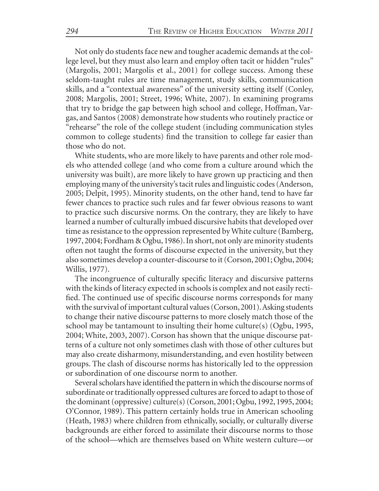Not only do students face new and tougher academic demands at the college level, but they must also learn and employ often tacit or hidden "rules" (Margolis, 2001; Margolis et al., 2001) for college success. Among these seldom-taught rules are time management, study skills, communication skills, and a "contextual awareness" of the university setting itself (Conley, 2008; Margolis, 2001; Street, 1996; White, 2007). In examining programs that try to bridge the gap between high school and college, Hoffman, Vargas, and Santos (2008) demonstrate how students who routinely practice or "rehearse" the role of the college student (including communication styles common to college students) find the transition to college far easier than those who do not.

White students, who are more likely to have parents and other role models who attended college (and who come from a culture around which the university was built), are more likely to have grown up practicing and then employing many of the university's tacit rules and linguistic codes (Anderson, 2005; Delpit, 1995). Minority students, on the other hand, tend to have far fewer chances to practice such rules and far fewer obvious reasons to want to practice such discursive norms. On the contrary, they are likely to have learned a number of culturally imbued discursive habits that developed over time as resistance to the oppression represented by White culture (Bamberg, 1997, 2004; Fordham & Ogbu, 1986). In short, not only are minority students often not taught the forms of discourse expected in the university, but they also sometimes develop a counter-discourse to it (Corson, 2001; Ogbu, 2004; Willis, 1977).

The incongruence of culturally specific literacy and discursive patterns with the kinds of literacy expected in schools is complex and not easily rectified. The continued use of specific discourse norms corresponds for many with the survival of important cultural values (Corson, 2001). Asking students to change their native discourse patterns to more closely match those of the school may be tantamount to insulting their home culture(s) (Ogbu, 1995, 2004; White, 2003, 2007). Corson has shown that the unique discourse patterns of a culture not only sometimes clash with those of other cultures but may also create disharmony, misunderstanding, and even hostility between groups. The clash of discourse norms has historically led to the oppression or subordination of one discourse norm to another.

Several scholars have identified the pattern in which the discourse norms of subordinate or traditionally oppressed cultures are forced to adapt to those of the dominant (oppressive) culture(s) (Corson, 2001; Ogbu, 1992, 1995, 2004; O'Connor, 1989). This pattern certainly holds true in American schooling (Heath, 1983) where children from ethnically, socially, or culturally diverse backgrounds are either forced to assimilate their discourse norms to those of the school—which are themselves based on White western culture—or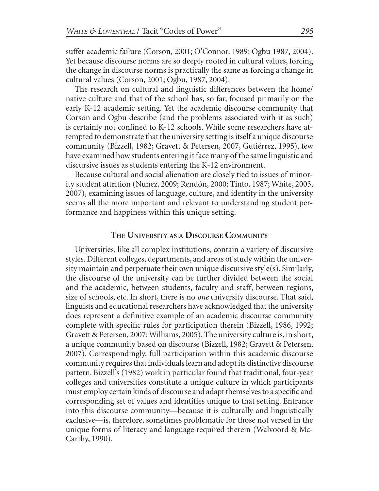suffer academic failure (Corson, 2001; O'Connor, 1989; Ogbu 1987, 2004). Yet because discourse norms are so deeply rooted in cultural values, forcing the change in discourse norms is practically the same as forcing a change in cultural values (Corson, 2001; Ogbu, 1987, 2004).

The research on cultural and linguistic differences between the home/ native culture and that of the school has, so far, focused primarily on the early K-12 academic setting. Yet the academic discourse community that Corson and Ogbu describe (and the problems associated with it as such) is certainly not confined to K-12 schools. While some researchers have attempted to demonstrate that the university setting is itself a unique discourse community (Bizzell, 1982; Gravett & Petersen, 2007, Gutiérrez, 1995), few have examined how students entering it face many of the same linguistic and discursive issues as students entering the K-12 environment.

Because cultural and social alienation are closely tied to issues of minority student attrition (Nunez, 2009; Rendón, 2000; Tinto, 1987; White, 2003, 2007), examining issues of language, culture, and identity in the university seems all the more important and relevant to understanding student performance and happiness within this unique setting.

#### **THE UNIVERSITY AS A DISCOURSE COMMUNITY**

Universities, like all complex institutions, contain a variety of discursive styles. Different colleges, departments, and areas of study within the university maintain and perpetuate their own unique discursive style(s). Similarly, the discourse of the university can be further divided between the social and the academic, between students, faculty and staff, between regions, size of schools, etc. In short, there is no *one* university discourse. That said, linguists and educational researchers have acknowledged that the university does represent a definitive example of an academic discourse community complete with specific rules for participation therein (Bizzell, 1986, 1992; Gravett & Petersen, 2007; Williams, 2005). The university culture is, in short, a unique community based on discourse (Bizzell, 1982; Gravett & Petersen, 2007). Correspondingly, full participation within this academic discourse community requires that individuals learn and adopt its distinctive discourse pattern. Bizzell's (1982) work in particular found that traditional, four-year colleges and universities constitute a unique culture in which participants must employ certain kinds of discourse and adapt themselves to a specific and corresponding set of values and identities unique to that setting. Entrance into this discourse community—because it is culturally and linguistically exclusive—is, therefore, sometimes problematic for those not versed in the unique forms of literacy and language required therein (Walvoord & Mc-Carthy, 1990).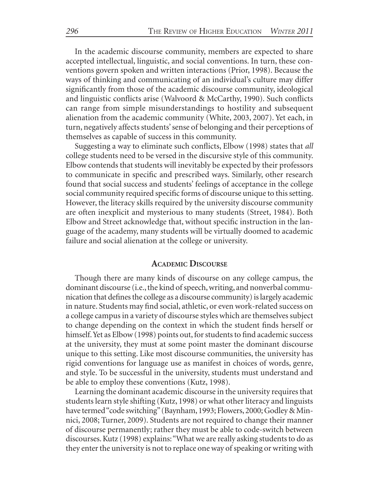In the academic discourse community, members are expected to share accepted intellectual, linguistic, and social conventions. In turn, these conventions govern spoken and written interactions (Prior, 1998). Because the ways of thinking and communicating of an individual's culture may differ significantly from those of the academic discourse community, ideological and linguistic conflicts arise (Walvoord & McCarthy, 1990). Such conflicts can range from simple misunderstandings to hostility and subsequent alienation from the academic community (White, 2003, 2007). Yet each, in turn, negatively affects students' sense of belonging and their perceptions of themselves as capable of success in this community.

Suggesting a way to eliminate such conflicts, Elbow (1998) states that *all* college students need to be versed in the discursive style of this community. Elbow contends that students will inevitably be expected by their professors to communicate in specific and prescribed ways. Similarly, other research found that social success and students' feelings of acceptance in the college social community required specific forms of discourse unique to this setting. However, the literacy skills required by the university discourse community are often inexplicit and mysterious to many students (Street, 1984). Both Elbow and Street acknowledge that, without specific instruction in the language of the academy, many students will be virtually doomed to academic failure and social alienation at the college or university.

## **ACADEMIC DISCOURSE**

Though there are many kinds of discourse on any college campus, the dominant discourse (i.e., the kind of speech, writing, and nonverbal communication that defines the college as a discourse community) is largely academic in nature. Students may find social, athletic, or even work-related success on a college campus in a variety of discourse styles which are themselves subject to change depending on the context in which the student finds herself or himself. Yet as Elbow (1998) points out, for students to find academic success at the university, they must at some point master the dominant discourse unique to this setting. Like most discourse communities, the university has rigid conventions for language use as manifest in choices of words, genre, and style. To be successful in the university, students must understand and be able to employ these conventions (Kutz, 1998).

Learning the dominant academic discourse in the university requires that students learn style shifting (Kutz, 1998) or what other literacy and linguists have termed "code switching" (Baynham, 1993; Flowers, 2000; Godley & Minnici, 2008; Turner, 2009). Students are not required to change their manner of discourse permanently; rather they must be able to code-switch between discourses. Kutz (1998) explains: "What we are really asking students to do as they enter the university is not to replace one way of speaking or writing with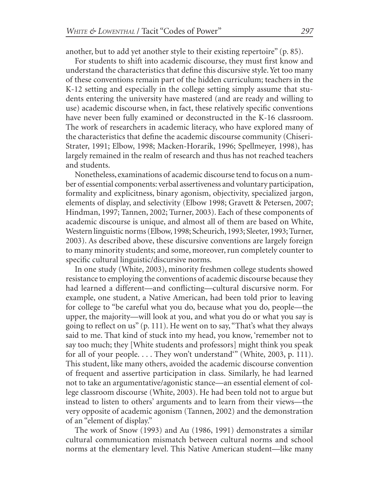another, but to add yet another style to their existing repertoire" (p. 85).

For students to shift into academic discourse, they must first know and understand the characteristics that define this discursive style. Yet too many of these conventions remain part of the hidden curriculum; teachers in the K-12 setting and especially in the college setting simply assume that students entering the university have mastered (and are ready and willing to use) academic discourse when, in fact, these relatively specific conventions have never been fully examined or deconstructed in the K-16 classroom. The work of researchers in academic literacy, who have explored many of the characteristics that define the academic discourse community (Chiseri-Strater, 1991; Elbow, 1998; Macken-Horarik, 1996; Spellmeyer, 1998), has largely remained in the realm of research and thus has not reached teachers and students.

Nonetheless, examinations of academic discourse tend to focus on a number of essential components: verbal assertiveness and voluntary participation, formality and explicitness, binary agonism, objectivity, specialized jargon, elements of display, and selectivity (Elbow 1998; Gravett & Petersen, 2007; Hindman, 1997; Tannen, 2002; Turner, 2003). Each of these components of academic discourse is unique, and almost all of them are based on White, Western linguistic norms (Elbow, 1998; Scheurich, 1993; Sleeter, 1993; Turner, 2003). As described above, these discursive conventions are largely foreign to many minority students; and some, moreover, run completely counter to specific cultural linguistic/discursive norms.

In one study (White, 2003), minority freshmen college students showed resistance to employing the conventions of academic discourse because they had learned a different—and conflicting—cultural discursive norm. For example, one student, a Native American, had been told prior to leaving for college to "be careful what you do, because what you do, people—the upper, the majority—will look at you, and what you do or what you say is going to reflect on us" (p. 111). He went on to say, "That's what they always said to me. That kind of stuck into my head, you know, 'remember not to say too much; they [White students and professors] might think you speak for all of your people. . . . They won't understand'" (White, 2003, p. 111). This student, like many others, avoided the academic discourse convention of frequent and assertive participation in class. Similarly, he had learned not to take an argumentative/agonistic stance—an essential element of college classroom discourse (White, 2003). He had been told not to argue but instead to listen to others' arguments and to learn from their views—the very opposite of academic agonism (Tannen, 2002) and the demonstration of an "element of display."

The work of Snow (1993) and Au (1986, 1991) demonstrates a similar cultural communication mismatch between cultural norms and school norms at the elementary level. This Native American student—like many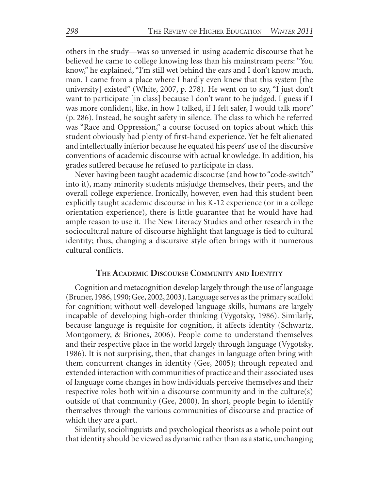others in the study—was so unversed in using academic discourse that he believed he came to college knowing less than his mainstream peers: "You know," he explained, "I'm still wet behind the ears and I don't know much, man. I came from a place where I hardly even knew that this system [the university] existed" (White, 2007, p. 278). He went on to say, "I just don't want to participate [in class] because I don't want to be judged. I guess if I was more confident, like, in how I talked, if I felt safer, I would talk more" (p. 286). Instead, he sought safety in silence. The class to which he referred was "Race and Oppression," a course focused on topics about which this student obviously had plenty of first-hand experience. Yet he felt alienated and intellectually inferior because he equated his peers' use of the discursive conventions of academic discourse with actual knowledge. In addition, his grades suffered because he refused to participate in class.

Never having been taught academic discourse (and how to "code-switch" into it), many minority students misjudge themselves, their peers, and the overall college experience. Ironically, however, even had this student been explicitly taught academic discourse in his K-12 experience (or in a college orientation experience), there is little guarantee that he would have had ample reason to use it. The New Literacy Studies and other research in the sociocultural nature of discourse highlight that language is tied to cultural identity; thus, changing a discursive style often brings with it numerous cultural conflicts.

# **THE ACADEMIC DISCOURSE COMMUNITY AND IDENTITY**

Cognition and metacognition develop largely through the use of language (Bruner, 1986, 1990; Gee, 2002, 2003). Language serves as the primary scaffold for cognition; without well-developed language skills, humans are largely incapable of developing high-order thinking (Vygotsky, 1986). Similarly, because language is requisite for cognition, it affects identity (Schwartz, Montgomery, & Briones, 2006). People come to understand themselves and their respective place in the world largely through language (Vygotsky, 1986). It is not surprising, then, that changes in language often bring with them concurrent changes in identity (Gee, 2005); through repeated and extended interaction with communities of practice and their associated uses of language come changes in how individuals perceive themselves and their respective roles both within a discourse community and in the culture(s) outside of that community (Gee, 2000). In short, people begin to identify themselves through the various communities of discourse and practice of which they are a part.

Similarly, sociolinguists and psychological theorists as a whole point out that identity should be viewed as dynamic rather than as a static, unchanging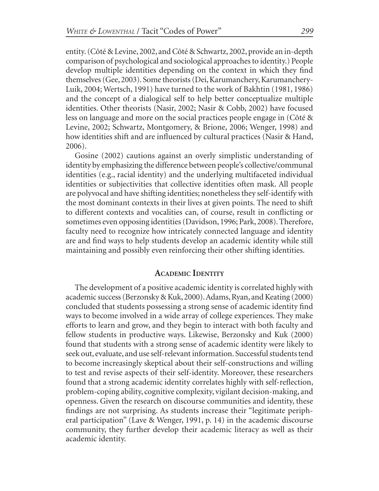entity. (Côté & Levine, 2002, and Côté & Schwartz, 2002, provide an in-depth comparison of psychological and sociological approaches to identity.) People develop multiple identities depending on the context in which they find themselves (Gee, 2003). Some theorists (Dei, Karumanchery, Karumanchery-Luik, 2004; Wertsch, 1991) have turned to the work of Bakhtin (1981, 1986) and the concept of a dialogical self to help better conceptualize multiple identities. Other theorists (Nasir, 2002; Nasir & Cobb, 2002) have focused less on language and more on the social practices people engage in (Côté & Levine, 2002; Schwartz, Montgomery, & Brione, 2006; Wenger, 1998) and how identities shift and are influenced by cultural practices (Nasir & Hand, 2006).

Gosine (2002) cautions against an overly simplistic understanding of identity by emphasizing the difference between people's collective/communal identities (e.g., racial identity) and the underlying multifaceted individual identities or subjectivities that collective identities often mask. All people are polyvocal and have shifting identities; nonetheless they self-identify with the most dominant contexts in their lives at given points. The need to shift to different contexts and vocalities can, of course, result in conflicting or sometimes even opposing identities (Davidson, 1996; Park, 2008). Therefore, faculty need to recognize how intricately connected language and identity are and find ways to help students develop an academic identity while still maintaining and possibly even reinforcing their other shifting identities.

# **ACADEMIC IDENTITY**

The development of a positive academic identity is correlated highly with academic success (Berzonsky & Kuk, 2000). Adams, Ryan, and Keating (2000) concluded that students possessing a strong sense of academic identity find ways to become involved in a wide array of college experiences. They make efforts to learn and grow, and they begin to interact with both faculty and fellow students in productive ways. Likewise, Berzonsky and Kuk (2000) found that students with a strong sense of academic identity were likely to seek out, evaluate, and use self-relevant information. Successful students tend to become increasingly skeptical about their self-constructions and willing to test and revise aspects of their self-identity. Moreover, these researchers found that a strong academic identity correlates highly with self-reflection, problem-coping ability, cognitive complexity, vigilant decision-making, and openness. Given the research on discourse communities and identity, these findings are not surprising. As students increase their "legitimate peripheral participation" (Lave & Wenger, 1991, p. 14) in the academic discourse community, they further develop their academic literacy as well as their academic identity.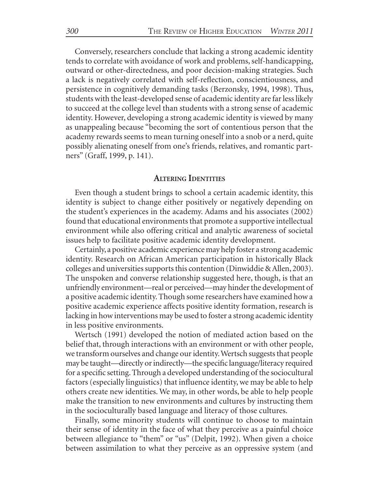Conversely, researchers conclude that lacking a strong academic identity tends to correlate with avoidance of work and problems, self-handicapping, outward or other-directedness, and poor decision-making strategies. Such a lack is negatively correlated with self-reflection, conscientiousness, and persistence in cognitively demanding tasks (Berzonsky, 1994, 1998). Thus, students with the least-developed sense of academic identity are far less likely to succeed at the college level than students with a strong sense of academic identity. However, developing a strong academic identity is viewed by many as unappealing because "becoming the sort of contentious person that the academy rewards seems to mean turning oneself into a snob or a nerd, quite possibly alienating oneself from one's friends, relatives, and romantic partners" (Graff, 1999, p. 141).

#### **ALTERING IDENTITIES**

Even though a student brings to school a certain academic identity, this identity is subject to change either positively or negatively depending on the student's experiences in the academy. Adams and his associates (2002) found that educational environments that promote a supportive intellectual environment while also offering critical and analytic awareness of societal issues help to facilitate positive academic identity development.

Certainly, a positive academic experience may help foster a strong academic identity. Research on African American participation in historically Black colleges and universities supports this contention (Dinwiddie & Allen, 2003). The unspoken and converse relationship suggested here, though, is that an unfriendly environment—real or perceived—may hinder the development of a positive academic identity. Though some researchers have examined how a positive academic experience affects positive identity formation, research is lacking in how interventions may be used to foster a strong academic identity in less positive environments.

Wertsch (1991) developed the notion of mediated action based on the belief that, through interactions with an environment or with other people, we transform ourselves and change our identity. Wertsch suggests that people may be taught—directly or indirectly—the specific language/literacy required for a specific setting. Through a developed understanding of the sociocultural factors (especially linguistics) that influence identity, we may be able to help others create new identities. We may, in other words, be able to help people make the transition to new environments and cultures by instructing them in the socioculturally based language and literacy of those cultures.

Finally, some minority students will continue to choose to maintain their sense of identity in the face of what they perceive as a painful choice between allegiance to "them" or "us" (Delpit, 1992). When given a choice between assimilation to what they perceive as an oppressive system (and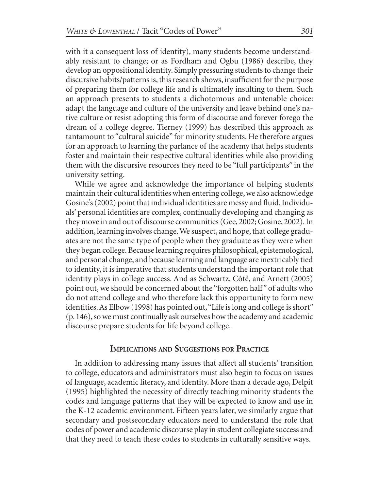with it a consequent loss of identity), many students become understandably resistant to change; or as Fordham and Ogbu (1986) describe, they develop an oppositional identity. Simply pressuring students to change their discursive habits/patterns is, this research shows, insufficient for the purpose of preparing them for college life and is ultimately insulting to them. Such an approach presents to students a dichotomous and untenable choice: adapt the language and culture of the university and leave behind one's native culture or resist adopting this form of discourse and forever forego the dream of a college degree. Tierney (1999) has described this approach as tantamount to "cultural suicide" for minority students. He therefore argues for an approach to learning the parlance of the academy that helps students foster and maintain their respective cultural identities while also providing them with the discursive resources they need to be "full participants" in the university setting.

While we agree and acknowledge the importance of helping students maintain their cultural identities when entering college, we also acknowledge Gosine's (2002) point that individual identities are messy and fluid. Individuals' personal identities are complex, continually developing and changing as they move in and out of discourse communities (Gee, 2002; Gosine, 2002). In addition, learning involves change. We suspect, and hope, that college graduates are not the same type of people when they graduate as they were when they began college. Because learning requires philosophical, epistemological, and personal change, and because learning and language are inextricably tied to identity, it is imperative that students understand the important role that identity plays in college success. And as Schwartz, Côté, and Arnett (2005) point out, we should be concerned about the "forgotten half" of adults who do not attend college and who therefore lack this opportunity to form new identities. As Elbow (1998) has pointed out, "Life is long and college is short" (p. 146), so we must continually ask ourselves how the academy and academic discourse prepare students for life beyond college.

#### **IMPLICATIONS AND SUGGESTIONS FOR PRACTICE**

In addition to addressing many issues that affect all students' transition to college, educators and administrators must also begin to focus on issues of language, academic literacy, and identity. More than a decade ago, Delpit (1995) highlighted the necessity of directly teaching minority students the codes and language patterns that they will be expected to know and use in the K-12 academic environment. Fifteen years later, we similarly argue that secondary and postsecondary educators need to understand the role that codes of power and academic discourse play in student collegiate success and that they need to teach these codes to students in culturally sensitive ways.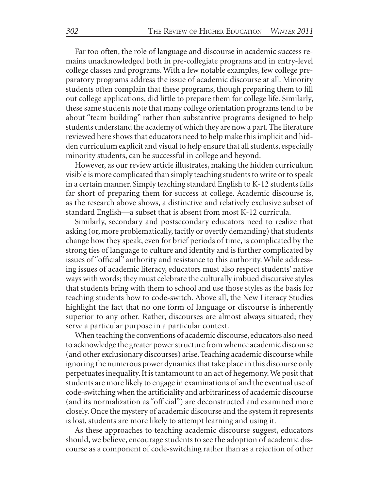Far too often, the role of language and discourse in academic success remains unacknowledged both in pre-collegiate programs and in entry-level college classes and programs. With a few notable examples, few college preparatory programs address the issue of academic discourse at all. Minority students often complain that these programs, though preparing them to fill out college applications, did little to prepare them for college life. Similarly, these same students note that many college orientation programs tend to be about "team building" rather than substantive programs designed to help students understand the academy of which they are now a part. The literature reviewed here shows that educators need to help make this implicit and hidden curriculum explicit and visual to help ensure that all students, especially minority students, can be successful in college and beyond.

However, as our review article illustrates, making the hidden curriculum visible is more complicated than simply teaching students to write or to speak in a certain manner. Simply teaching standard English to K-12 students falls far short of preparing them for success at college. Academic discourse is, as the research above shows, a distinctive and relatively exclusive subset of standard English—a subset that is absent from most K-12 curricula.

Similarly, secondary and postsecondary educators need to realize that asking (or, more problematically, tacitly or overtly demanding) that students change how they speak, even for brief periods of time, is complicated by the strong ties of language to culture and identity and is further complicated by issues of "official" authority and resistance to this authority. While addressing issues of academic literacy, educators must also respect students' native ways with words; they must celebrate the culturally imbued discursive styles that students bring with them to school and use those styles as the basis for teaching students how to code-switch. Above all, the New Literacy Studies highlight the fact that no one form of language or discourse is inherently superior to any other. Rather, discourses are almost always situated; they serve a particular purpose in a particular context.

When teaching the conventions of academic discourse, educators also need to acknowledge the greater power structure from whence academic discourse (and other exclusionary discourses) arise. Teaching academic discourse while ignoring the numerous power dynamics that take place in this discourse only perpetuates inequality. It is tantamount to an act of hegemony. We posit that students are more likely to engage in examinations of and the eventual use of code-switching when the artificiality and arbitrariness of academic discourse (and its normalization as "official") are deconstructed and examined more closely. Once the mystery of academic discourse and the system it represents is lost, students are more likely to attempt learning and using it.

As these approaches to teaching academic discourse suggest, educators should, we believe, encourage students to see the adoption of academic discourse as a component of code-switching rather than as a rejection of other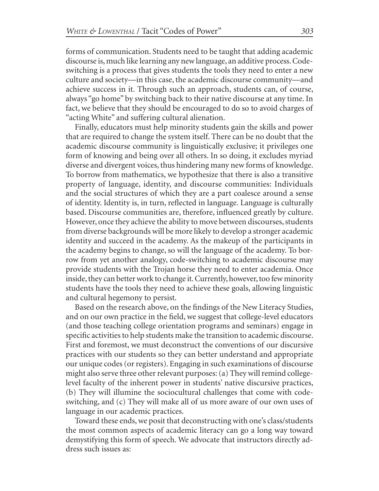forms of communication. Students need to be taught that adding academic discourse is, much like learning any new language, an additive process. Codeswitching is a process that gives students the tools they need to enter a new culture and society—in this case, the academic discourse community—and achieve success in it. Through such an approach, students can, of course, always "go home" by switching back to their native discourse at any time. In fact, we believe that they should be encouraged to do so to avoid charges of "acting White" and suffering cultural alienation.

Finally, educators must help minority students gain the skills and power that are required to change the system itself. There can be no doubt that the academic discourse community is linguistically exclusive; it privileges one form of knowing and being over all others. In so doing, it excludes myriad diverse and divergent voices, thus hindering many new forms of knowledge. To borrow from mathematics, we hypothesize that there is also a transitive property of language, identity, and discourse communities: Individuals and the social structures of which they are a part coalesce around a sense of identity. Identity is, in turn, reflected in language. Language is culturally based. Discourse communities are, therefore, influenced greatly by culture. However, once they achieve the ability to move between discourses, students from diverse backgrounds will be more likely to develop a stronger academic identity and succeed in the academy. As the makeup of the participants in the academy begins to change, so will the language of the academy. To borrow from yet another analogy, code-switching to academic discourse may provide students with the Trojan horse they need to enter academia. Once inside, they can better work to change it. Currently, however, too few minority students have the tools they need to achieve these goals, allowing linguistic and cultural hegemony to persist.

Based on the research above, on the findings of the New Literacy Studies, and on our own practice in the field, we suggest that college-level educators (and those teaching college orientation programs and seminars) engage in specific activities to help students make the transition to academic discourse. First and foremost, we must deconstruct the conventions of our discursive practices with our students so they can better understand and appropriate our unique codes (or registers). Engaging in such examinations of discourse might also serve three other relevant purposes: (a) They will remind collegelevel faculty of the inherent power in students' native discursive practices, (b) They will illumine the sociocultural challenges that come with codeswitching, and (c) They will make all of us more aware of our own uses of language in our academic practices.

Toward these ends, we posit that deconstructing with one's class/students the most common aspects of academic literacy can go a long way toward demystifying this form of speech. We advocate that instructors directly address such issues as: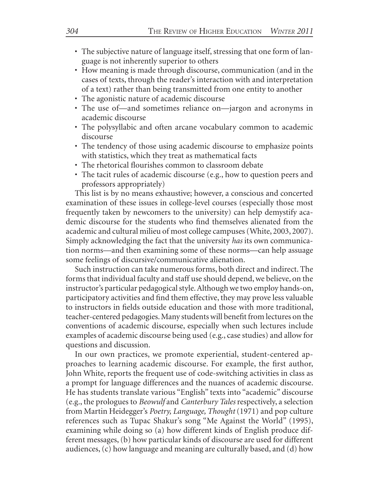- The subjective nature of language itself, stressing that one form of language is not inherently superior to others
- How meaning is made through discourse, communication (and in the cases of texts, through the reader's interaction with and interpretation of a text) rather than being transmitted from one entity to another
- The agonistic nature of academic discourse
- The use of—and sometimes reliance on—jargon and acronyms in academic discourse
- The polysyllabic and often arcane vocabulary common to academic discourse
- The tendency of those using academic discourse to emphasize points with statistics, which they treat as mathematical facts
- The rhetorical flourishes common to classroom debate
- The tacit rules of academic discourse (e.g., how to question peers and professors appropriately)

This list is by no means exhaustive; however, a conscious and concerted examination of these issues in college-level courses (especially those most frequently taken by newcomers to the university) can help demystify academic discourse for the students who find themselves alienated from the academic and cultural milieu of most college campuses (White, 2003, 2007). Simply acknowledging the fact that the university *has* its own communication norms—and then examining some of these norms—can help assuage some feelings of discursive/communicative alienation.

Such instruction can take numerous forms, both direct and indirect. The forms that individual faculty and staff use should depend, we believe, on the instructor's particular pedagogical style. Although we two employ hands-on, participatory activities and find them effective, they may prove less valuable to instructors in fields outside education and those with more traditional, teacher-centered pedagogies. Many students will benefit from lectures on the conventions of academic discourse, especially when such lectures include examples of academic discourse being used (e.g., case studies) and allow for questions and discussion.

In our own practices, we promote experiential, student-centered approaches to learning academic discourse. For example, the first author, John White, reports the frequent use of code-switching activities in class as a prompt for language differences and the nuances of academic discourse. He has students translate various "English" texts into "academic" discourse (e.g., the prologues to *Beowulf* and *Canterbury Tales* respectively, a selection from Martin Heidegger's *Poetry, Language, Thought* (1971) and pop culture references such as Tupac Shakur's song "Me Against the World" (1995), examining while doing so (a) how different kinds of English produce different messages, (b) how particular kinds of discourse are used for different audiences, (c) how language and meaning are culturally based, and (d) how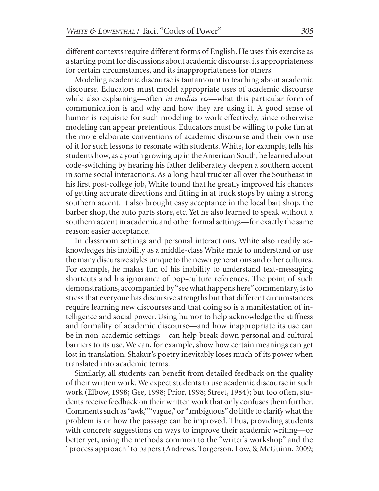different contexts require different forms of English. He uses this exercise as a starting point for discussions about academic discourse, its appropriateness for certain circumstances, and its inappropriateness for others.

Modeling academic discourse is tantamount to teaching about academic discourse. Educators must model appropriate uses of academic discourse while also explaining—often *in medias res*—what this particular form of communication is and why and how they are using it. A good sense of humor is requisite for such modeling to work effectively, since otherwise modeling can appear pretentious. Educators must be willing to poke fun at the more elaborate conventions of academic discourse and their own use of it for such lessons to resonate with students. White, for example, tells his students how, as a youth growing up in the American South, he learned about code-switching by hearing his father deliberately deepen a southern accent in some social interactions. As a long-haul trucker all over the Southeast in his first post-college job, White found that he greatly improved his chances of getting accurate directions and fitting in at truck stops by using a strong southern accent. It also brought easy acceptance in the local bait shop, the barber shop, the auto parts store, etc. Yet he also learned to speak without a southern accent in academic and other formal settings—for exactly the same reason: easier acceptance.

In classroom settings and personal interactions, White also readily acknowledges his inability as a middle-class White male to understand or use the many discursive styles unique to the newer generations and other cultures. For example, he makes fun of his inability to understand text-messaging shortcuts and his ignorance of pop-culture references. The point of such demonstrations, accompanied by "see what happens here" commentary, is to stress that everyone has discursive strengths but that different circumstances require learning new discourses and that doing so is a manifestation of intelligence and social power. Using humor to help acknowledge the stiffness and formality of academic discourse—and how inappropriate its use can be in non-academic settings—can help break down personal and cultural barriers to its use. We can, for example, show how certain meanings can get lost in translation. Shakur's poetry inevitably loses much of its power when translated into academic terms.

Similarly, all students can benefit from detailed feedback on the quality of their written work. We expect students to use academic discourse in such work (Elbow, 1998; Gee, 1998; Prior, 1998; Street, 1984); but too often, students receive feedback on their written work that only confuses them further. Comments such as "awk," "vague," or "ambiguous" do little to clarify what the problem is or how the passage can be improved. Thus, providing students with concrete suggestions on ways to improve their academic writing—or better yet, using the methods common to the "writer's workshop" and the "process approach" to papers (Andrews, Torgerson, Low, & McGuinn, 2009;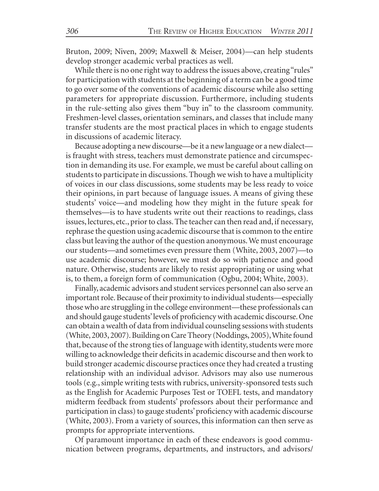Bruton, 2009; Niven, 2009; Maxwell & Meiser, 2004)—can help students develop stronger academic verbal practices as well.

While there is no one right way to address the issues above, creating "rules" for participation with students at the beginning of a term can be a good time to go over some of the conventions of academic discourse while also setting parameters for appropriate discussion. Furthermore, including students in the rule-setting also gives them "buy in" to the classroom community. Freshmen-level classes, orientation seminars, and classes that include many transfer students are the most practical places in which to engage students in discussions of academic literacy.

Because adopting a new discourse—be it a new language or a new dialect is fraught with stress, teachers must demonstrate patience and circumspection in demanding its use. For example, we must be careful about calling on students to participate in discussions. Though we wish to have a multiplicity of voices in our class discussions, some students may be less ready to voice their opinions, in part because of language issues. A means of giving these students' voice—and modeling how they might in the future speak for themselves—is to have students write out their reactions to readings, class issues, lectures, etc., prior to class. The teacher can then read and, if necessary, rephrase the question using academic discourse that is common to the entire class but leaving the author of the question anonymous. We must encourage our students—and sometimes even pressure them (White, 2003, 2007)—to use academic discourse; however, we must do so with patience and good nature. Otherwise, students are likely to resist appropriating or using what is, to them, a foreign form of communication (Ogbu, 2004; White, 2003).

Finally, academic advisors and student services personnel can also serve an important role. Because of their proximity to individual students—especially those who are struggling in the college environment—these professionals can and should gauge students' levels of proficiency with academic discourse. One can obtain a wealth of data from individual counseling sessions with students (White, 2003, 2007). Building on Care Theory (Noddings, 2005), White found that, because of the strong ties of language with identity, students were more willing to acknowledge their deficits in academic discourse and then work to build stronger academic discourse practices once they had created a trusting relationship with an individual advisor. Advisors may also use numerous tools (e.g., simple writing tests with rubrics, university-sponsored tests such as the English for Academic Purposes Test or TOEFL tests, and mandatory midterm feedback from students' professors about their performance and participation in class) to gauge students' proficiency with academic discourse (White, 2003). From a variety of sources, this information can then serve as prompts for appropriate interventions.

Of paramount importance in each of these endeavors is good communication between programs, departments, and instructors, and advisors/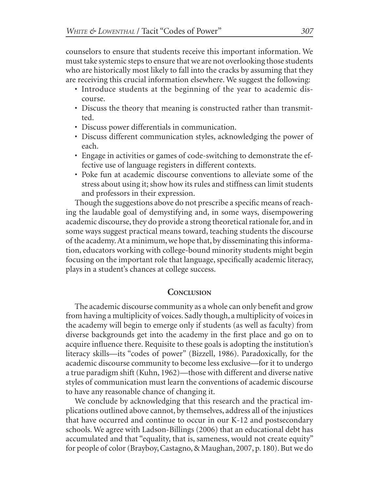counselors to ensure that students receive this important information. We must take systemic steps to ensure that we are not overlooking those students who are historically most likely to fall into the cracks by assuming that they are receiving this crucial information elsewhere. We suggest the following:

- Introduce students at the beginning of the year to academic discourse.
- Discuss the theory that meaning is constructed rather than transmitted.
- Discuss power differentials in communication.
- Discuss different communication styles, acknowledging the power of each.
- Engage in activities or games of code-switching to demonstrate the effective use of language registers in different contexts.
- Poke fun at academic discourse conventions to alleviate some of the stress about using it; show how its rules and stiffness can limit students and professors in their expression.

Though the suggestions above do not prescribe a specific means of reaching the laudable goal of demystifying and, in some ways, disempowering academic discourse, they do provide a strong theoretical rationale for, and in some ways suggest practical means toward, teaching students the discourse of the academy. At a minimum, we hope that, by disseminating this information, educators working with college-bound minority students might begin focusing on the important role that language, specifically academic literacy, plays in a student's chances at college success.

# **CONCLUSION**

The academic discourse community as a whole can only benefit and grow from having a multiplicity of voices. Sadly though, a multiplicity of voices in the academy will begin to emerge only if students (as well as faculty) from diverse backgrounds get into the academy in the first place and go on to acquire influence there. Requisite to these goals is adopting the institution's literacy skills—its "codes of power" (Bizzell, 1986). Paradoxically, for the academic discourse community to become less exclusive—for it to undergo a true paradigm shift (Kuhn, 1962)—those with different and diverse native styles of communication must learn the conventions of academic discourse to have any reasonable chance of changing it.

We conclude by acknowledging that this research and the practical implications outlined above cannot, by themselves, address all of the injustices that have occurred and continue to occur in our K-12 and postsecondary schools. We agree with Ladson-Billings (2006) that an educational debt has accumulated and that "equality, that is, sameness, would not create equity" for people of color (Brayboy, Castagno, & Maughan, 2007, p. 180). But we do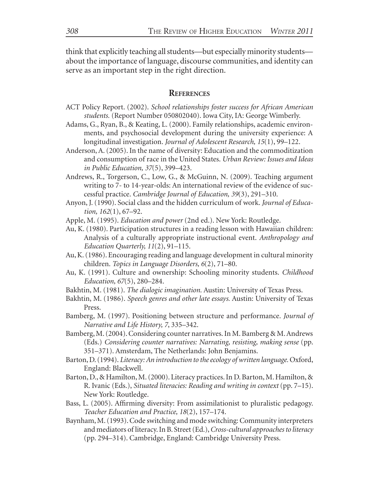think that explicitly teaching all students—but especially minority students about the importance of language, discourse communities, and identity can serve as an important step in the right direction.

#### **REFERENCES**

- ACT Policy Report. (2002). *School relationships foster success for African American students.* (Report Number 050802040). Iowa City, IA: George Wimberly.
- Adams, G., Ryan, B., & Keating, L. (2000). Family relationships, academic environments, and psychosocial development during the university experience: A longitudinal investigation. *Journal of Adolescent Research, 15*(1), 99–122.
- Anderson, A. (2005). In the name of diversity: Education and the commoditization and consumption of race in the United States. *Urban Review: Issues and Ideas in Public Education, 37*(5), 399–423.
- Andrews, R., Torgerson, C., Low, G., & McGuinn, N. (2009). Teaching argument writing to 7- to 14-year-olds: An international review of the evidence of successful practice. *Cambridge Journal of Education, 39*(3), 291–310.
- Anyon, J. (1990). Social class and the hidden curriculum of work. *Journal of Education, 162*(1), 67–92.

Apple, M. (1995). *Education and power* (2nd ed.). New York: Routledge.

- Au, K. (1980). Participation structures in a reading lesson with Hawaiian children: Analysis of a culturally appropriate instructional event. *Anthropology and Education Quarterly, 11*(2), 91–115.
- Au, K. (1986). Encouraging reading and language development in cultural minority children. *Topics in Language Disorders, 6*(2), 71–80.
- Au, K. (1991). Culture and ownership: Schooling minority students. *Childhood Education, 67*(5), 280–284.
- Bakhtin, M. (1981). *The dialogic imagination.* Austin: University of Texas Press.
- Bakhtin, M. (1986). *Speech genres and other late essays.* Austin: University of Texas Press.
- Bamberg, M. (1997). Positioning between structure and performance. *Journal of Narrative and Life History, 7*, 335–342.
- Bamberg, M. (2004). Considering counter narratives. In M. Bamberg & M. Andrews (Eds.) *Considering counter narratives: Narrating, resisting, making sense* (pp. 351–371). Amsterdam, The Netherlands: John Benjamins.
- Barton, D. (1994). *Literacy: An introduction to the ecology of written language.* Oxford, England: Blackwell.
- Barton, D., & Hamilton, M. (2000). Literacy practices. In D. Barton, M. Hamilton, & R. Ivanic (Eds.), *Situated literacies: Reading and writing in context* (pp. 7–15). New York: Routledge.
- Bass, L. (2005). Affirming diversity: From assimilationist to pluralistic pedagogy. *Teacher Education and Practice, 18*(2), 157–174.
- Baynham,M. (1993). Code switching and mode switching: Community interpreters and mediators of literacy. In B. Street (Ed.), *Cross-cultural approaches to literacy* (pp. 294–314). Cambridge, England: Cambridge University Press.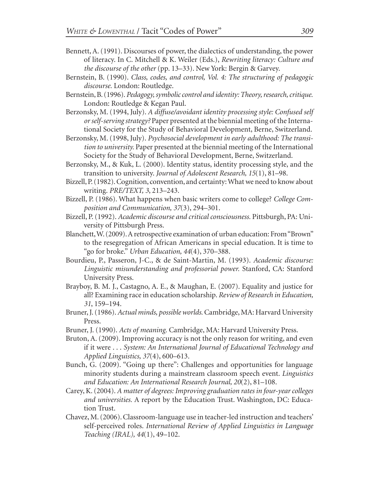- Bennett, A. (1991). Discourses of power, the dialectics of understanding, the power of literacy. In C. Mitchell & K. Weiler (Eds.), *Rewriting literacy: Culture and the discourse of the other* (pp. 13–33). New York: Bergin & Garvey.
- Bernstein, B. (1990). *Class, codes, and control, Vol. 4: The structuring of pedagogic discourse.* London: Routledge.
- Bernstein, B. (1996). *Pedagogy, symbolic control and identity: Theory, research, critique.* London: Routledge & Kegan Paul.
- Berzonsky, M. (1994, July). *A diffuse/avoidant identity processing style: Confused self or self-serving strategy?* Paper presented at the biennial meeting of the International Society for the Study of Behavioral Development, Berne, Switzerland.
- Berzonsky, M. (1998, July). *Psychosocial development in early adulthood: The transition to university.* Paper presented at the biennial meeting of the International Society for the Study of Behavioral Development, Berne, Switzerland.
- Berzonsky, M., & Kuk, L. (2000). Identity status, identity processing style, and the transition to university. *Journal of Adolescent Research, 15*(1), 81–98.
- Bizzell, P. (1982). Cognition, convention, and certainty: What we need to know about writing. *PRE/TEXT, 3*, 213–243.
- Bizzell, P. (1986). What happens when basic writers come to college? *College Composition and Communication, 37*(3), 294–301.
- Bizzell, P. (1992). *Academic discourse and critical consciousness.* Pittsburgh, PA: University of Pittsburgh Press.
- Blanchett, W. (2009). A retrospective examination of urban education: From "Brown" to the resegregation of African Americans in special education. It is time to "go for broke." *Urban Education, 44*(4), 370–388.
- Bourdieu, P., Passeron, J-C., & de Saint-Martin, M. (1993). *Academic discourse: Linguistic misunderstanding and professorial power.* Stanford, CA: Stanford University Press.
- Brayboy, B. M. J., Castagno, A. E., & Maughan, E. (2007). Equality and justice for all? Examining race in education scholarship. *Review of Research in Education, 31*, 159–194.
- Bruner, J. (1986). *Actual minds, possible worlds.* Cambridge, MA: Harvard University Press.
- Bruner, J. (1990). *Acts of meaning.* Cambridge, MA: Harvard University Press.
- Bruton, A. (2009). Improving accuracy is not the only reason for writing, and even if it were . . . *System: An International Journal of Educational Technology and Applied Linguistics, 37*(4), 600–613.
- Bunch, G. (2009). "Going up there": Challenges and opportunities for language minority students during a mainstream classroom speech event. *Linguistics and Education: An International Research Journal, 20*(2), 81–108.
- Carey, K. (2004). *A matter of degrees: Improving graduation rates in four-year colleges and universities.* A report by the Education Trust. Washington, DC: Education Trust.
- Chavez, M. (2006). Classroom-language use in teacher-led instruction and teachers' self-perceived roles. *International Review of Applied Linguistics in Language Teaching (IRAL), 44*(1), 49–102.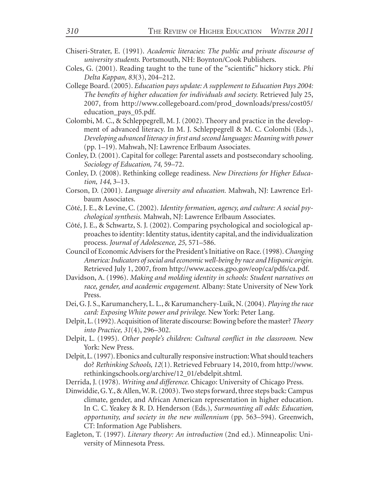- Chiseri-Strater, E. (1991). *Academic literacies: The public and private discourse of university students.* Portsmouth, NH: Boynton/Cook Publishers.
- Coles, G. (2001). Reading taught to the tune of the "scientific" hickory stick. *Phi Delta Kappan, 83*(3), 204–212.
- College Board. (2005). *Education pays update: A supplement to Education Pays 2004: The benefits of higher education for individuals and society.* Retrieved July 25, 2007, from http://www.collegeboard.com/prod\_downloads/press/cost05/ education\_pays\_05.pdf.
- Colombi, M. C., & Schleppegrell, M. J. (2002). Theory and practice in the development of advanced literacy. In M. J. Schleppegrell & M. C. Colombi (Eds.), *Developing advanced literacy in first and second languages: Meaning with power* (pp. 1–19). Mahwah, NJ: Lawrence Erlbaum Associates.
- Conley, D. (2001). Capital for college: Parental assets and postsecondary schooling. *Sociology of Education, 74,* 59–72.
- Conley, D. (2008). Rethinking college readiness. *New Directions for Higher Education, 144*, 3–13.
- Corson, D. (2001). *Language diversity and education.* Mahwah, NJ: Lawrence Erlbaum Associates.
- Côté, J. E., & Levine, C. (2002). *Identity formation, agency, and culture: A social psychological synthesis.* Mahwah, NJ: Lawrence Erlbaum Associates.
- Côté, J. E., & Schwartz, S. J. (2002). Comparing psychological and sociological approaches to identity: Identity status, identity capital, and the individualization process. *Journal of Adolescence, 25,* 571–586.
- Council of Economic Advisers for the President's Initiative on Race. (1998). *Changing America: Indicators of social and economic well-being by race and Hispanic origin.* Retrieved July 1, 2007, from http://www.access.gpo.gov/eop/ca/pdfs/ca.pdf.
- Davidson, A. (1996). *Making and molding identity in schools: Student narratives on race, gender, and academic engagement.* Albany: State University of New York Press.
- Dei, G. J. S., Karumanchery, L. L., & Karumanchery-Luik, N. (2004). *Playing the race card: Exposing White power and privilege.* New York: Peter Lang.
- Delpit, L. (1992). Acquisition of literate discourse: Bowing before the master? *Theory into Practice, 31*(4), 296–302.
- Delpit, L. (1995). *Other people's children: Cultural conflict in the classroom.* New York: New Press.
- Delpit, L. (1997). Ebonics and culturally responsive instruction: What should teachers do? *Rethinking Schools, 12*(1). Retrieved February 14, 2010, from http://www. rethinkingschools.org/archive/12\_01/ebdelpit.shtml.
- Derrida, J. (1978). *Writing and difference.* Chicago: University of Chicago Press.
- Dinwiddie, G. Y., & Allen, W. R. (2003). Two steps forward, three steps back: Campus climate, gender, and African American representation in higher education. In C. C. Yeakey & R. D. Henderson (Eds.), *Surmounting all odds: Education, opportunity, and society in the new millennium* (pp. 563–594). Greenwich, CT: Information Age Publishers.
- Eagleton, T. (1997). *Literary theory: An introduction* (2nd ed.). Minneapolis: University of Minnesota Press.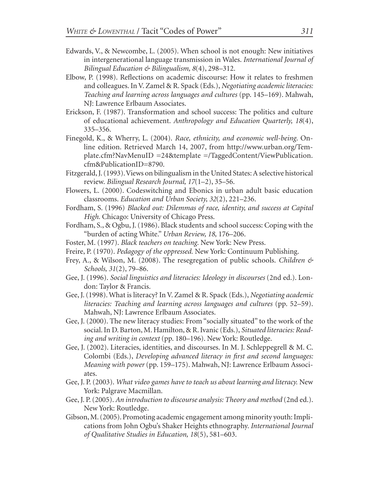- Edwards, V., & Newcombe, L. (2005). When school is not enough: New initiatives in intergenerational language transmission in Wales. *International Journal of Bilingual Education & Bilingualism, 8*(4), 298–312.
- Elbow, P. (1998). Reflections on academic discourse: How it relates to freshmen and colleagues. In V. Zamel & R. Spack (Eds.), *Negotiating academic literacies: Teaching and learning across languages and cultures* (pp. 145–169). Mahwah, NJ: Lawrence Erlbaum Associates.
- Erickson, F. (1987). Transformation and school success: The politics and culture of educational achievement. *Anthropology and Education Quarterly, 18*(4), 335–356.
- Finegold, K., & Wherry, L. (2004). *Race, ethnicity, and economic well-being*. Online edition. Retrieved March 14, 2007, from http://www.urban.org/Template.cfm?NavMenuID =24&template =/TaggedContent/ViewPublication. cfm&PublicationID=8790.
- Fitzgerald, J. (1993). Views on bilingualism in the United States: A selective historical review. *Bilingual Research Journal, 17*(1–2), 35–56.
- Flowers, L. (2000). Codeswitching and Ebonics in urban adult basic education classrooms. *Education and Urban Society, 32*(2), 221–236.
- Fordham, S. (1996) *Blacked out: Dilemmas of race, identity, and success at Capital High.* Chicago: University of Chicago Press.
- Fordham, S., & Ogbu, J. (1986). Black students and school success: Coping with the "burden of acting White." *Urban Review, 18,* 176–206.
- Foster, M. (1997). *Black teachers on teaching.* New York: New Press.
- Freire, P. (1970). *Pedagogy of the oppressed.* New York: Continuum Publishing.
- Frey, A., & Wilson, M. (2008). The resegregation of public schools. *Children & Schools, 31*(2), 79–86.
- Gee, J. (1996). *Social linguistics and literacies: Ideology in discourses* (2nd ed.). London: Taylor & Francis.
- Gee, J. (1998). What is literacy? In V. Zamel & R. Spack (Eds.), *Negotiating academic literacies: Teaching and learning across languages and cultures* (pp. 52–59). Mahwah, NJ: Lawrence Erlbaum Associates.
- Gee, J. (2000). The new literacy studies: From "socially situated" to the work of the social. In D. Barton, M. Hamilton, & R. Ivanic (Eds.), *Situated literacies: Reading and writing in context* (pp. 180–196). New York: Routledge.
- Gee, J. (2002). Literacies, identities, and discourses. In M. J. Schleppegrell & M. C. Colombi (Eds.), *Developing advanced literacy in first and second languages: Meaning with power* (pp. 159–175). Mahwah, NJ: Lawrence Erlbaum Associates.
- Gee, J. P. (2003). *What video games have to teach us about learning and literacy.* New York: Palgrave Macmillan.
- Gee, J. P. (2005). *An introduction to discourse analysis: Theory and method* (2nd ed.). New York: Routledge.
- Gibson, M. (2005). Promoting academic engagement among minority youth: Implications from John Ogbu's Shaker Heights ethnography. *International Journal of Qualitative Studies in Education, 18*(5), 581–603.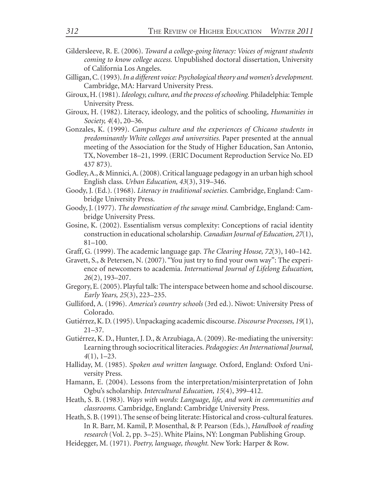- Gildersleeve, R. E. (2006). *Toward a college-going literacy: Voices of migrant students coming to know college access.* Unpublished doctoral dissertation, University of California Los Angeles.
- Gilligan, C. (1993). *In a different voice: Psychological theory and women's development.* Cambridge, MA: Harvard University Press.
- Giroux, H. (1981). *Ideology, culture, and the process of schooling.* Philadelphia: Temple University Press.
- Giroux, H. (1982). Literacy, ideology, and the politics of schooling, *Humanities in Society, 4*(4), 20–36.
- Gonzales, K. (1999). *Campus culture and the experiences of Chicano students in predominantly White colleges and universities.* Paper presented at the annual meeting of the Association for the Study of Higher Education, San Antonio, TX, November 18–21, 1999. (ERIC Document Reproduction Service No. ED 437 873).
- Godley, A., & Minnici, A. (2008). Critical language pedagogy in an urban high school English class. *Urban Education, 43*(3), 319–346.
- Goody, J. (Ed.). (1968). *Literacy in traditional societies.* Cambridge, England: Cambridge University Press.
- Goody, J. (1977). *The domestication of the savage mind.* Cambridge, England: Cambridge University Press.
- Gosine, K. (2002). Essentialism versus complexity: Conceptions of racial identity construction in educational scholarship. *Canadian Journal of Education, 27*(1), 81–100.
- Graff, G. (1999). The academic language gap. *The Clearing House, 72*(3), 140–142.
- Gravett, S., & Petersen, N. (2007). "You just try to find your own way": The experience of newcomers to academia. *International Journal of Lifelong Education, 26*(2), 193–207.
- Gregory, E. (2005). Playful talk: The interspace between home and school discourse. *Early Years, 25*(3), 223–235.
- Gulliford, A. (1996). *America's country schools* (3rd ed.). Niwot: University Press of Colorado.
- Gutiérrez, K. D. (1995). Unpackaging academic discourse. *Discourse Processes, 19*(1), 21–37.
- Gutiérrez, K. D., Hunter, J. D., & Arzubiaga, A. (2009). Re-mediating the university: Learning through sociocritical literacies. *Pedagogies: An International Journal, 4*(1), 1–23.
- Halliday, M. (1985). *Spoken and written language.* Oxford, England: Oxford University Press.
- Hamann, E. (2004). Lessons from the interpretation/misinterpretation of John Ogbu's scholarship. *Intercultural Education, 15*(4), 399–412.
- Heath, S. B. (1983). *Ways with words: Language, life, and work in communities and classrooms.* Cambridge, England: Cambridge University Press.
- Heath, S. B. (1991). The sense of being literate: Historical and cross-cultural features. In R. Barr, M. Kamil, P. Mosenthal, & P. Pearson (Eds.), *Handbook of reading research* (Vol. 2, pp. 3–25). White Plains, NY: Longman Publishing Group.
- Heidegger, M. (1971). *Poetry, language, thought.* New York: Harper & Row.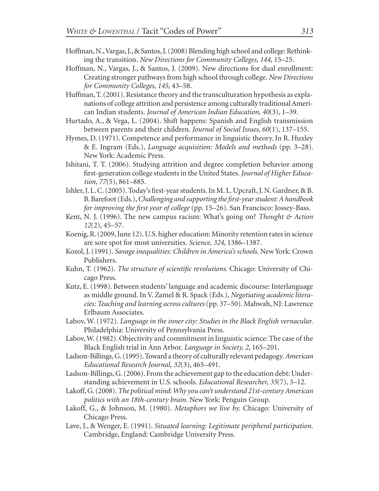- Hoffman, N., Vargas, J., & Santos, J. (2008) Blending high school and college: Rethinking the transition. *New Directions for Community Colleges, 144,* 15–25.
- Hoffman, N., Vargas, J., & Santos, J. (2009). New directions for dual enrollment: Creating stronger pathways from high school through college. *New Directions for Community Colleges, 145,* 43–58.
- Huffman, T. (2001). Resistance theory and the transculturation hypothesis as explanations of college attrition and persistence among culturally traditional American Indian students. *Journal of American Indian Education, 40*(3), 1–39.
- Hurtado, A., & Vega, L. (2004). Shift happens: Spanish and English transmission between parents and their children. *Journal of Social Issues, 60*(1), 137–155.
- Hymes, D. (1971). Competence and performance in linguistic theory. In R. Huxley & E. Ingram (Eds.), *Language acquisition: Models and methods* (pp. 3–28). New York: Academic Press.
- Ishitani, T. T. (2006). Studying attrition and degree completion behavior among first-generation college students in the United States.*Journal of Higher Education, 77*(5), 861–885.
- Ishler, J. L. C. (2005). Today's first-year students. In M. L. Upcraft, J. N. Gardner, & B. B. Barefoot (Eds.), *Challenging and supporting the first-year student: A handbook for improving the first year of college* (pp. 15–26). San Francisco: Jossey-Bass.
- Kent, N. J. (1996). The new campus racism: What's going on? *Thought & Action 12*(2), 45–57.
- Koenig, R. (2009, June 12). U.S. higher education: Minority retention rates in science are sore spot for most universities. *Science, 324*, 1386–1387.
- Kozol, J. (1991). *Savage inequalities: Children in America's schools.* New York: Crown Publishers.
- Kuhn, T. (1962). *The structure of scientific revolutions.* Chicago: University of Chicago Press.
- Kutz, E. (1998). Between students' language and academic discourse: Interlanguage as middle ground. In V. Zamel & R. Spack (Eds.), *Negotiating academic literacies: Teaching and learning across cultures* (pp. 37–50). Mahwah, NJ: Lawrence Erlbaum Associates.
- Labov, W. (1972). *Language in the inner city: Studies in the Black English vernacular.* Philadelphia: University of Pennsylvania Press.
- Labov, W. (1982). Objectivity and commitment in linguistic science: The case of the Black English trial in Ann Arbor. *Language in Society, 2*, 165–201.
- Ladson-Billings, G. (1995). Toward a theory of culturally relevant pedagogy. *American Educational Research Journal, 32*(3), 465–491.
- Ladson-Billings, G. (2006). From the achievement gap to the education debt: Understanding achievement in U.S. schools. *Educational Researcher, 35*(7), 3–12.
- Lakoff, G. (2008).*The political mind: Why you can't understand 21st-century American politics with an 18th-century brain.* New York: Penguin Group.
- Lakoff, G., & Johnson, M. (1980). *Metaphors we live by.* Chicago: University of Chicago Press.
- Lave, J., & Wenger, E. (1991). *Situated learning: Legitimate peripheral participation.* Cambridge, England: Cambridge University Press.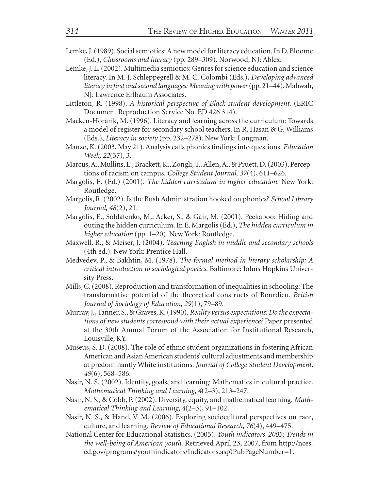- Lemke, J. (1989). Social semiotics: A new model for literacy education. In D. Bloome (Ed.), *Classrooms and literacy* (pp. 289–309). Norwood, NJ: Ablex.
- Lemke, J. L. (2002). Multimedia semiotics: Genres for science education and science literacy. In M. J. Schleppegrell & M. C. Colombi (Eds.), *Developing advanced literacy in first and second languages: Meaning with power* (pp. 21–44). Mahwah, NJ: Lawrence Erlbaum Associates.
- Littleton, R. (1998). *A historical perspective of Black student development.* (ERIC Document Reproduction Service No. ED 426 314).
- Macken-Horarik, M. (1996). Literacy and learning across the curriculum: Towards a model of register for secondary school teachers. In R. Hasan & G. Williams (Eds.), *Literacy in society* (pp. 232–278). New York: Longman.
- Manzo, K. (2003, May 21). Analysis calls phonics findings into questions. *Education Week, 22*(37), 3.
- Marcus, A., Mullins, L., Brackett, K., Zongli, T., Allen, A., & Pruett, D. (2003). Perceptions of racism on campus. *College Student Journal, 37*(4), 611–626.
- Margolis, E. (Ed.) (2001). *The hidden curriculum in higher education.* New York: Routledge.
- Margolis, R. (2002). Is the Bush Administration hooked on phonics? *School Library Journal, 48*(2), 21.
- Margolis, E., Soldatenko, M., Acker, S., & Gair, M. (2001). Peekaboo: Hiding and outing the hidden curriculum. In E. Margolis (Ed.), *The hidden curriculum in higher education* (pp. 1–20). New York: Routledge.
- Maxwell, R., & Meiser, J. (2004). *Teaching English in middle and secondary schools* (4th ed.). New York: Prentice Hall.
- Medvedev, P., & Bakhtin, M. (1978). *The formal method in literary scholarship: A critical introduction to sociological poetics.* Baltimore: Johns Hopkins University Press.
- Mills, C. (2008). Reproduction and transformation of inequalities in schooling: The transformative potential of the theoretical constructs of Bourdieu. *British Journal of Sociology of Education, 29*(1), 79–89.
- Murray, J., Tanner, S., & Graves, K. (1990). *Reality versus expectations: Do the expectations of new students correspond with their actual experience?* Paper presented at the 30th Annual Forum of the Association for Institutional Research, Louisville, KY.
- Museus, S. D. (2008). The role of ethnic student organizations in fostering African American and Asian American students' cultural adjustments and membership at predominantly White institutions. *Journal of College Student Development, 49*(6), 568–586.
- Nasir, N. S. (2002). Identity, goals, and learning: Mathematics in cultural practice. *Mathematical Thinking and Learning, 4*(2–3), 213–247.
- Nasir, N. S., & Cobb, P. (2002). Diversity, equity, and mathematical learning. *Mathematical Thinking and Learning, 4*(2–3), 91–102.
- Nasir, N. S., & Hand, V. M. (2006). Exploring sociocultural perspectives on race, culture, and learning. *Review of Educational Research, 76*(4), 449–475.
- National Center for Educational Statistics. (2005). *Youth indicators, 2005: Trends in the well-being of American youth.* Retrieved April 23, 2007, from http://nces. ed.gov/programs/youthindicators/Indicators.asp?PubPageNumber=1.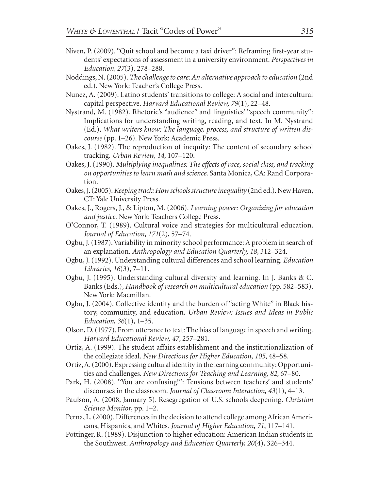- Niven, P. (2009). "Quit school and become a taxi driver": Reframing first-year students' expectations of assessment in a university environment. *Perspectives in Education, 27*(3), 278–288.
- Noddings, N. (2005). *The challenge to care: An alternative approach to education* (2nd ed.). New York: Teacher's College Press.
- Nunez, A. (2009). Latino students' transitions to college: A social and intercultural capital perspective. *Harvard Educational Review, 79*(1), 22–48.
- Nystrand, M. (1982). Rhetoric's "audience" and linguistics' "speech community": Implications for understanding writing, reading, and text. In M. Nystrand (Ed.), *What writers know: The language, process, and structure of written discourse* (pp. 1–26). New York: Academic Press.
- Oakes, J. (1982). The reproduction of inequity: The content of secondary school tracking. *Urban Review, 14*, 107–120.
- Oakes, J. (1990). *Multiplying inequalities: The effects of race, social class, and tracking on opportunities to learn math and science.* Santa Monica, CA: Rand Corporation.
- Oakes, J. (2005). *Keeping track: How schools structure inequality* (2nd ed.). New Haven, CT: Yale University Press.
- Oakes, J., Rogers, J., & Lipton, M. (2006). *Learning power: Organizing for education and justice.* New York: Teachers College Press.
- O'Connor, T. (1989). Cultural voice and strategies for multicultural education. *Journal of Education, 171*(2), 57–74.
- Ogbu, J. (1987). Variability in minority school performance: A problem in search of an explanation. *Anthropology and Education Quarterly, 18*, 312–324.
- Ogbu, J. (1992). Understanding cultural differences and school learning. *Education Libraries, 16*(3), 7–11.
- Ogbu, J. (1995). Understanding cultural diversity and learning. In J. Banks & C. Banks (Eds.), *Handbook of research on multicultural education* (pp. 582–583). New York: Macmillan.
- Ogbu, J. (2004). Collective identity and the burden of "acting White" in Black history, community, and education. *Urban Review: Issues and Ideas in Public Education, 36*(1), 1–35.
- Olson, D. (1977). From utterance to text: The bias of language in speech and writing. *Harvard Educational Review, 47*, 257–281.
- Ortiz, A. (1999). The student affairs establishment and the institutionalization of the collegiate ideal. *New Directions for Higher Education, 105*, 48–58.
- Ortiz, A. (2000). Expressing cultural identity in the learning community: Opportunities and challenges. *New Directions for Teaching and Learning, 82*, 67–80.
- Park, H. (2008). "You are confusing!": Tensions between teachers' and students' discourses in the classroom. *Journal of Classroom Interaction, 43*(1), 4–13.
- Paulson, A. (2008, January 5). Resegregation of U.S. schools deepening. *Christian Science Monitor*, pp. 1–2.
- Perna, L. (2000). Differences in the decision to attend college among African Americans, Hispanics, and Whites. *Journal of Higher Education, 71*, 117–141.
- Pottinger, R. (1989). Disjunction to higher education: American Indian students in the Southwest. *Anthropology and Education Quarterly, 20*(4), 326–344.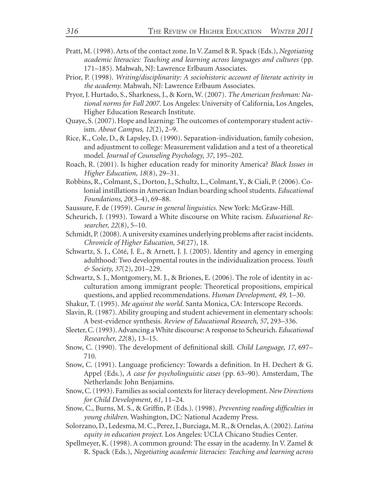- Pratt, M. (1998). Arts of the contact zone. In V. Zamel & R. Spack (Eds.), *Negotiating academic literacies: Teaching and learning across languages and cultures* (pp. 171–185). Mahwah, NJ: Lawrence Erlbaum Associates.
- Prior, P. (1998). *Writing/disciplinarity: A sociohistoric account of literate activity in the academy.* Mahwah, NJ: Lawrence Erlbaum Associates.
- Pryor, J. Hurtado, S., Sharkness, J., & Korn, W. (2007). *The American freshman: National norms for Fall 2007.* Los Angeles: University of California, Los Angeles, Higher Education Research Institute.
- Quaye, S. (2007). Hope and learning: The outcomes of contemporary student activism. *About Campus, 12*(2), 2–9.
- Rice, K., Cole, D., & Lapsley, D. (1990). Separation-individuation, family cohesion, and adjustment to college: Measurement validation and a test of a theoretical model. *Journal of Counseling Psychology, 37*, 195–202.
- Roach, R. (2001). Is higher education ready for minority America? *Black Issues in Higher Education, 18*(8), 29–31.
- Robbins, R., Colmant, S., Dorton, J., Schultz, L., Colmant, Y., & Ciali, P. (2006). Colonial instillations in American Indian boarding school students. *Educational Foundations, 20*(3–4), 69–88.
- Saussure, F. de (1959). *Course in general linguistics.* New York: McGraw-Hill.
- Scheurich, J. (1993). Toward a White discourse on White racism. *Educational Researcher, 22*(8), 5–10.
- Schmidt, P. (2008). A university examines underlying problems after racist incidents. *Chronicle of Higher Education, 54*(27), 18.
- Schwartz, S. J., Côté, J. E., & Arnett, J. J. (2005). Identity and agency in emerging adulthood: Two developmental routes in the individualization process. *Youth & Society, 37*(2), 201–229.
- Schwartz, S. J., Montgomery, M. J., & Briones, E. (2006). The role of identity in acculturation among immigrant people: Theoretical propositions, empirical questions, and applied recommendations. *Human Development, 49,* 1–30.
- Shakur, T. (1995). *Me against the world.* Santa Monica, CA: Interscope Records.
- Slavin, R. (1987). Ability grouping and student achievement in elementary schools: A best-evidence synthesis. *Review of Educational Research, 57*, 293–336.
- Sleeter, C. (1993). Advancing a White discourse: A response to Scheurich. *Educational Researcher, 22*(8), 13–15.
- Snow, C. (1990). The development of definitional skill. *Child Language, 17*, 697– 710.
- Snow, C. (1991). Language proficiency: Towards a definition. In H. Dechert & G. Appel (Eds.), *A case for psycholinguistic cases* (pp. 63–90). Amsterdam, The Netherlands: John Benjamins.
- Snow, C. (1993). Families as social contexts for literacy development. *New Directions for Child Development, 61,* 11–24.
- Snow, C., Burns, M. S., & Griffin, P. (Eds.). (1998). *Preventing reading difficulties in young children.* Washington, DC: National Academy Press.
- Solorzano, D., Ledesma, M. C., Perez, J., Burciaga, M. R., & Ornelas, A. (2002). *Latina equity in education project.* Los Angeles: UCLA Chicano Studies Center.
- Spellmeyer, K. (1998). A common ground: The essay in the academy. In V. Zamel & R. Spack (Eds.), *Negotiating academic literacies: Teaching and learning across*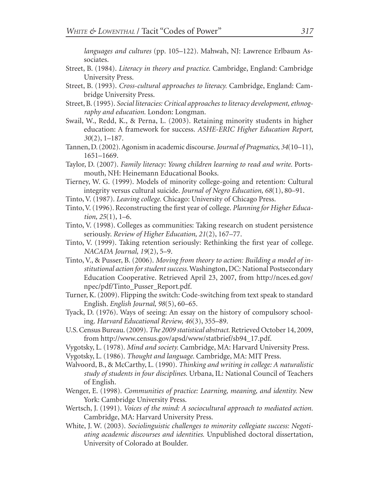*languages and cultures* (pp. 105–122). Mahwah, NJ: Lawrence Erlbaum Associates.

- Street, B. (1984). *Literacy in theory and practice.* Cambridge, England: Cambridge University Press.
- Street, B. (1993). *Cross-cultural approaches to literacy.* Cambridge, England: Cambridge University Press.
- Street, B. (1995). *Social literacies: Critical approaches to literacy development, ethnography and education.* London: Longman.
- Swail, W., Redd, K., & Perna, L. (2003). Retaining minority students in higher education: A framework for success. *ASHE-ERIC Higher Education Report, 30*(2), 1–187.
- Tannen, D. (2002). Agonism in academic discourse. *Journal of Pragmatics, 34*(10–11), 1651–1669.
- Taylor, D. (2007). *Family literacy: Young children learning to read and write.* Portsmouth, NH: Heinemann Educational Books.
- Tierney, W. G. (1999). Models of minority college-going and retention: Cultural integrity versus cultural suicide. *Journal of Negro Education, 68*(1), 80–91.
- Tinto, V. (1987). *Leaving college.* Chicago: University of Chicago Press.
- Tinto, V. (1996). Reconstructing the first year of college. *Planning for Higher Education, 25*(1), 1–6.
- Tinto, V. (1998). Colleges as communities: Taking research on student persistence seriously. *Review of Higher Education, 21*(2), 167–77.
- Tinto, V. (1999). Taking retention seriously: Rethinking the first year of college. *NACADA Journal, 19*(2), 5–9.
- Tinto, V., & Pusser, B. (2006). *Moving from theory to action: Building a model of institutional action for student success.* Washington, DC: National Postsecondary Education Cooperative. Retrieved April 23, 2007, from http://nces.ed.gov/ npec/pdf/Tinto\_Pusser\_Report.pdf.
- Turner, K. (2009). Flipping the switch: Code-switching from text speak to standard English. *English Journal, 98*(5), 60–65.
- Tyack, D. (1976). Ways of seeing: An essay on the history of compulsory schooling. *Harvard Educational Review, 46*(3), 355–89.
- U.S. Census Bureau. (2009). *The 2009 statistical abstract.* Retrieved October 14, 2009, from http://www.census.gov/apsd/www/statbrief/sb94\_17.pdf.
- Vygotsky, L. (1978). *Mind and society.* Cambridge, MA: Harvard University Press.
- Vygotsky, L. (1986). *Thought and language.* Cambridge, MA: MIT Press.
- Walvoord, B., & McCarthy, L. (1990). *Thinking and writing in college: A naturalistic study of students in four disciplines.* Urbana, IL: National Council of Teachers of English.
- Wenger, E. (1998). *Communities of practice: Learning, meaning, and identity.* New York: Cambridge University Press.
- Wertsch, J. (1991). *Voices of the mind: A sociocultural approach to mediated action.* Cambridge, MA: Harvard University Press.
- White, J. W. (2003). *Sociolinguistic challenges to minority collegiate success: Negotiating academic discourses and identities.* Unpublished doctoral dissertation, University of Colorado at Boulder.